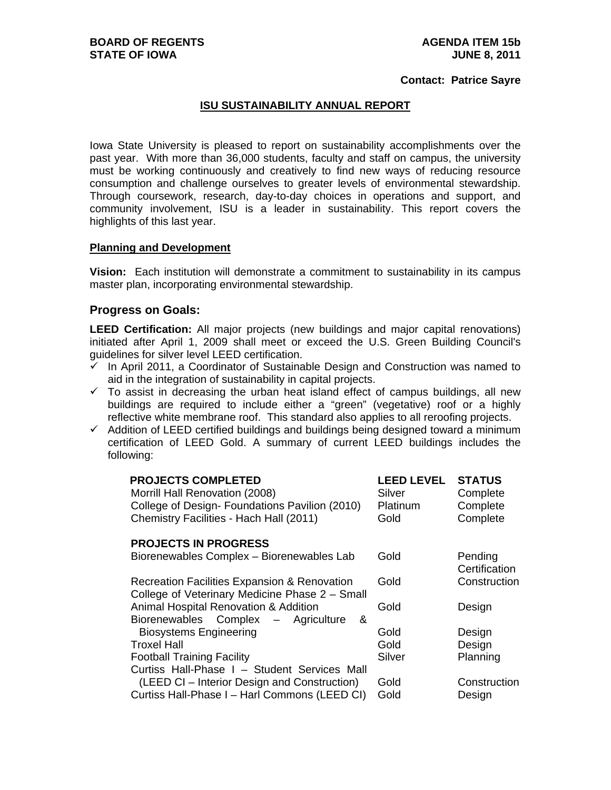#### **Contact: Patrice Sayre**

## **ISU SUSTAINABILITY ANNUAL REPORT**

Iowa State University is pleased to report on sustainability accomplishments over the past year. With more than 36,000 students, faculty and staff on campus, the university must be working continuously and creatively to find new ways of reducing resource consumption and challenge ourselves to greater levels of environmental stewardship. Through coursework, research, day-to-day choices in operations and support, and community involvement, ISU is a leader in sustainability. This report covers the highlights of this last year.

#### **Planning and Development**

**Vision:** Each institution will demonstrate a commitment to sustainability in its campus master plan, incorporating environmental stewardship.

### **Progress on Goals:**

**LEED Certification:** All major projects (new buildings and major capital renovations) initiated after April 1, 2009 shall meet or exceed the U.S. Green Building Council's guidelines for silver level LEED certification.

- $\checkmark$  In April 2011, a Coordinator of Sustainable Design and Construction was named to aid in the integration of sustainability in capital projects.
- $\checkmark$  To assist in decreasing the urban heat island effect of campus buildings, all new buildings are required to include either a "green" (vegetative) roof or a highly reflective white membrane roof. This standard also applies to all reroofing projects.
- $\checkmark$  Addition of LEED certified buildings and buildings being designed toward a minimum certification of LEED Gold. A summary of current LEED buildings includes the following:

| <b>LEED LEVEL</b><br>Silver<br>Platinum | <b>STATUS</b><br>Complete<br>Complete<br>Complete |
|-----------------------------------------|---------------------------------------------------|
|                                         |                                                   |
| Gold                                    | Pending<br>Certification                          |
| Gold                                    | Construction                                      |
| Gold                                    | Design                                            |
| Gold                                    | Design                                            |
| Gold                                    | Design                                            |
| Silver                                  | Planning                                          |
|                                         |                                                   |
| Gold                                    | Construction                                      |
| Gold                                    | Design                                            |
|                                         | Gold                                              |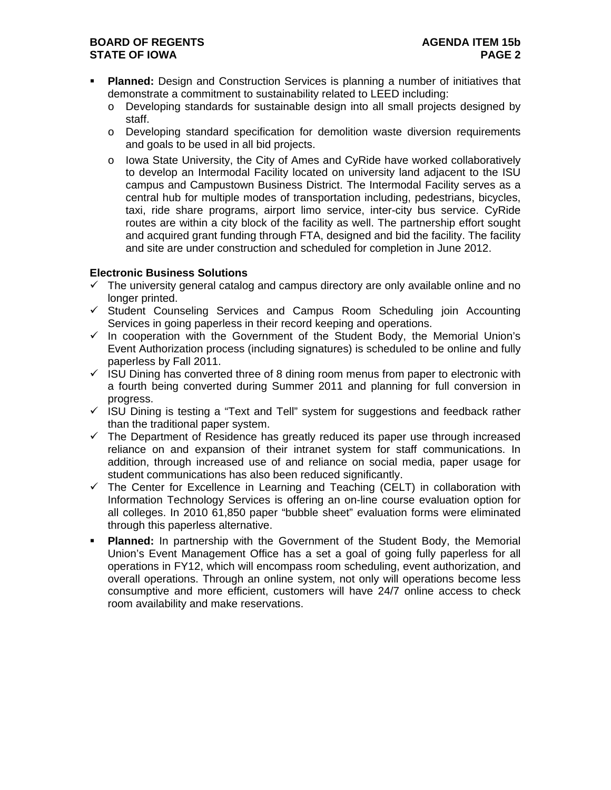# **BOARD OF REGENTS AGENDA ITEM 15b STATE OF IOWA** PAGE 2

- **Planned:** Design and Construction Services is planning a number of initiatives that demonstrate a commitment to sustainability related to LEED including:
	- o Developing standards for sustainable design into all small projects designed by staff.
	- o Developing standard specification for demolition waste diversion requirements and goals to be used in all bid projects.
	- o Iowa State University, the City of Ames and CyRide have worked collaboratively to develop an Intermodal Facility located on university land adjacent to the ISU campus and Campustown Business District. The Intermodal Facility serves as a central hub for multiple modes of transportation including, pedestrians, bicycles, taxi, ride share programs, airport limo service, inter-city bus service. CyRide routes are within a city block of the facility as well. The partnership effort sought and acquired grant funding through FTA, designed and bid the facility. The facility and site are under construction and scheduled for completion in June 2012.

## **Electronic Business Solutions**

- $\checkmark$  The university general catalog and campus directory are only available online and no longer printed.
- $\checkmark$  Student Counseling Services and Campus Room Scheduling join Accounting Services in going paperless in their record keeping and operations.
- $\checkmark$  In cooperation with the Government of the Student Body, the Memorial Union's Event Authorization process (including signatures) is scheduled to be online and fully paperless by Fall 2011.
- $\checkmark$  ISU Dining has converted three of 8 dining room menus from paper to electronic with a fourth being converted during Summer 2011 and planning for full conversion in progress.
- $\checkmark$  ISU Dining is testing a "Text and Tell" system for suggestions and feedback rather than the traditional paper system.
- $\checkmark$  The Department of Residence has greatly reduced its paper use through increased reliance on and expansion of their intranet system for staff communications. In addition, through increased use of and reliance on social media, paper usage for student communications has also been reduced significantly.
- $\checkmark$  The Center for Excellence in Learning and Teaching (CELT) in collaboration with Information Technology Services is offering an on-line course evaluation option for all colleges. In 2010 61,850 paper "bubble sheet" evaluation forms were eliminated through this paperless alternative.
- **Planned:** In partnership with the Government of the Student Body, the Memorial Union's Event Management Office has a set a goal of going fully paperless for all operations in FY12, which will encompass room scheduling, event authorization, and overall operations. Through an online system, not only will operations become less consumptive and more efficient, customers will have 24/7 online access to check room availability and make reservations.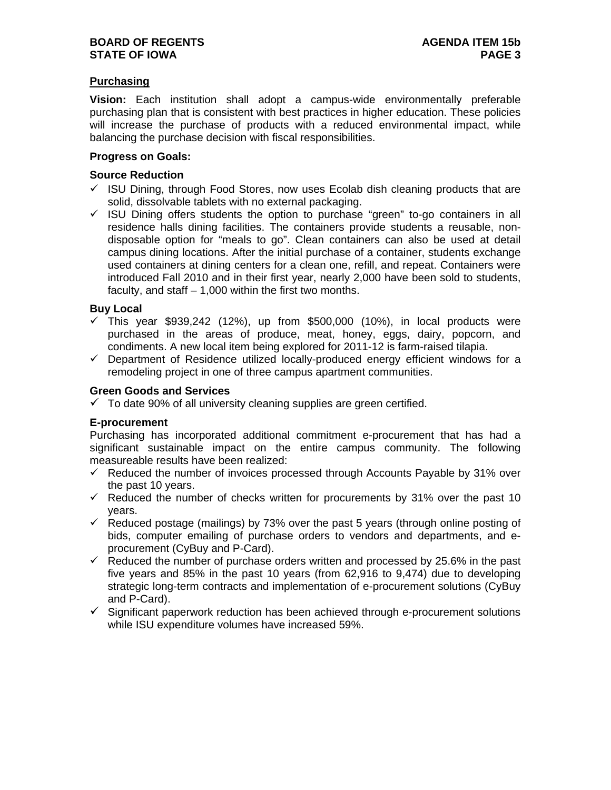# **Purchasing**

**Vision:** Each institution shall adopt a campus-wide environmentally preferable purchasing plan that is consistent with best practices in higher education. These policies will increase the purchase of products with a reduced environmental impact, while balancing the purchase decision with fiscal responsibilities.

### **Progress on Goals:**

### **Source Reduction**

- $\checkmark$  ISU Dining, through Food Stores, now uses Ecolab dish cleaning products that are solid, dissolvable tablets with no external packaging.
- $\checkmark$  ISU Dining offers students the option to purchase "green" to-go containers in all residence halls dining facilities. The containers provide students a reusable, nondisposable option for "meals to go". Clean containers can also be used at detail campus dining locations. After the initial purchase of a container, students exchange used containers at dining centers for a clean one, refill, and repeat. Containers were introduced Fall 2010 and in their first year, nearly 2,000 have been sold to students, faculty, and staff  $-1,000$  within the first two months.

## **Buy Local**

- $\checkmark$  This year \$939,242 (12%), up from \$500,000 (10%), in local products were purchased in the areas of produce, meat, honey, eggs, dairy, popcorn, and condiments. A new local item being explored for 2011-12 is farm-raised tilapia.
- $\checkmark$  Department of Residence utilized locally-produced energy efficient windows for a remodeling project in one of three campus apartment communities.

## **Green Goods and Services**

 $\checkmark$  To date 90% of all university cleaning supplies are green certified.

### **E-procurement**

Purchasing has incorporated additional commitment e-procurement that has had a significant sustainable impact on the entire campus community. The following measureable results have been realized:

- $\checkmark$  Reduced the number of invoices processed through Accounts Payable by 31% over the past 10 years.
- $\checkmark$  Reduced the number of checks written for procurements by 31% over the past 10 years.
- $\checkmark$  Reduced postage (mailings) by 73% over the past 5 years (through online posting of bids, computer emailing of purchase orders to vendors and departments, and eprocurement (CyBuy and P-Card).
- $\checkmark$  Reduced the number of purchase orders written and processed by 25.6% in the past five years and 85% in the past 10 years (from 62,916 to 9,474) due to developing strategic long-term contracts and implementation of e-procurement solutions (CyBuy and P-Card).
- $\checkmark$  Significant paperwork reduction has been achieved through e-procurement solutions while ISU expenditure volumes have increased 59%.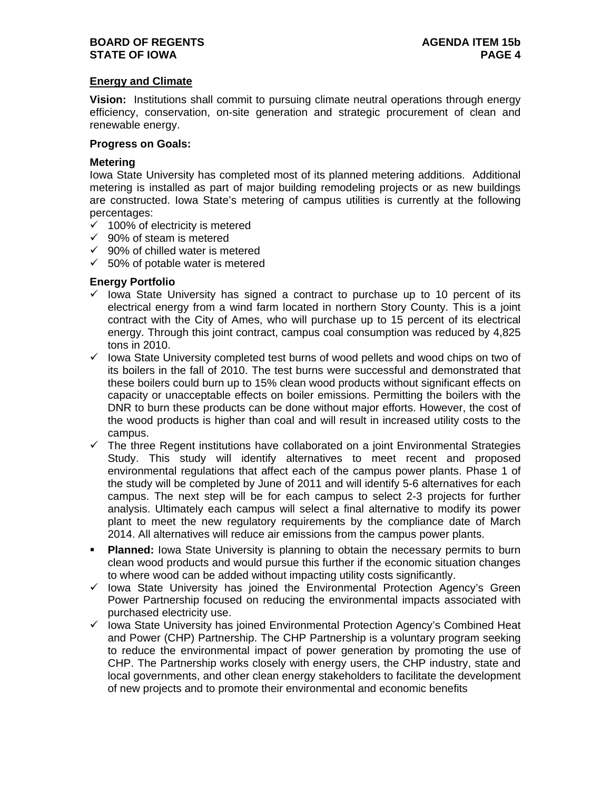## **BOARD OF REGENTS AGENDA ITEM 15b STATE OF IOWA** PAGE 4

## **Energy and Climate**

**Vision:** Institutions shall commit to pursuing climate neutral operations through energy efficiency, conservation, on-site generation and strategic procurement of clean and renewable energy.

# **Progress on Goals:**

## **Metering**

Iowa State University has completed most of its planned metering additions. Additional metering is installed as part of major building remodeling projects or as new buildings are constructed. Iowa State's metering of campus utilities is currently at the following percentages:

- $\checkmark$  100% of electricity is metered
- $\checkmark$  90% of steam is metered
- $\checkmark$  90% of chilled water is metered
- $\times$  50% of potable water is metered

## **Energy Portfolio**

- $\checkmark$  lowa State University has signed a contract to purchase up to 10 percent of its electrical energy from a wind farm located in northern Story County. This is a joint contract with the City of Ames, who will purchase up to 15 percent of its electrical energy. Through this joint contract, campus coal consumption was reduced by 4,825 tons in 2010.
- $\checkmark$  lowa State University completed test burns of wood pellets and wood chips on two of its boilers in the fall of 2010. The test burns were successful and demonstrated that these boilers could burn up to 15% clean wood products without significant effects on capacity or unacceptable effects on boiler emissions. Permitting the boilers with the DNR to burn these products can be done without major efforts. However, the cost of the wood products is higher than coal and will result in increased utility costs to the campus.
- $\checkmark$  The three Regent institutions have collaborated on a joint Environmental Strategies Study. This study will identify alternatives to meet recent and proposed environmental regulations that affect each of the campus power plants. Phase 1 of the study will be completed by June of 2011 and will identify 5-6 alternatives for each campus. The next step will be for each campus to select 2-3 projects for further analysis. Ultimately each campus will select a final alternative to modify its power plant to meet the new regulatory requirements by the compliance date of March 2014. All alternatives will reduce air emissions from the campus power plants.
- **Planned:** Iowa State University is planning to obtain the necessary permits to burn clean wood products and would pursue this further if the economic situation changes to where wood can be added without impacting utility costs significantly.
- $\checkmark$  lowa State University has joined the Environmental Protection Agency's Green Power Partnership focused on reducing the environmental impacts associated with purchased electricity use.
- $\checkmark$  lowa State University has joined Environmental Protection Agency's Combined Heat and Power (CHP) Partnership. The CHP Partnership is a voluntary program seeking to reduce the environmental impact of power generation by promoting the use of CHP. The Partnership works closely with energy users, the CHP industry, state and local governments, and other clean energy stakeholders to facilitate the development of new projects and to promote their environmental and economic benefits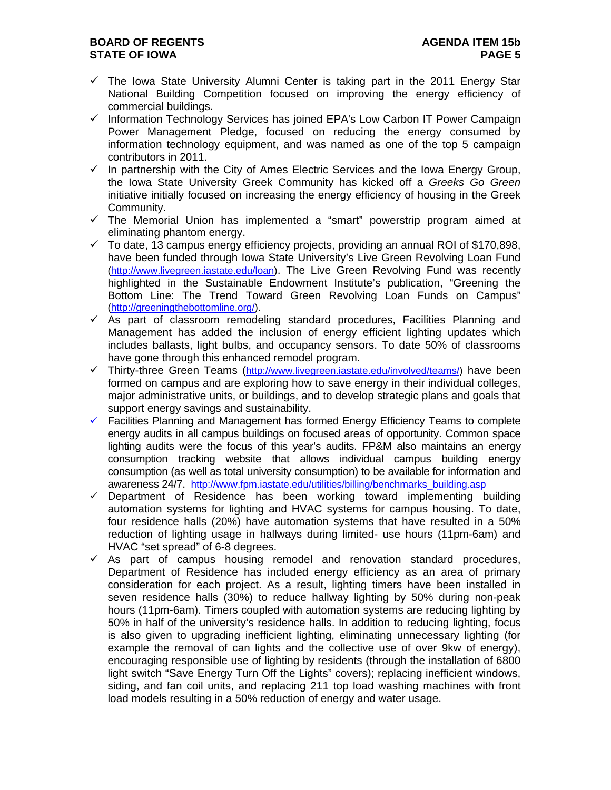# **BOARD OF REGENTS AGENDA ITEM 15b STATE OF IOWA** PAGE 5

- $\checkmark$  The Iowa State University Alumni Center is taking part in the 2011 Energy Star National Building Competition focused on improving the energy efficiency of commercial buildings.
- $\checkmark$  Information Technology Services has joined EPA's Low Carbon IT Power Campaign Power Management Pledge, focused on reducing the energy consumed by information technology equipment, and was named as one of the top 5 campaign contributors in 2011.
- $\checkmark$  In partnership with the City of Ames Electric Services and the Iowa Energy Group, the Iowa State University Greek Community has kicked off a *Greeks Go Green* initiative initially focused on increasing the energy efficiency of housing in the Greek Community.
- $\checkmark$  The Memorial Union has implemented a "smart" powerstrip program aimed at eliminating phantom energy.
- $\checkmark$  To date, 13 campus energy efficiency projects, providing an annual ROI of \$170,898, have been funded through Iowa State University's Live Green Revolving Loan Fund (http://www.livegreen.iastate.edu/loan). The Live Green Revolving Fund was recently highlighted in the Sustainable Endowment Institute's publication, "Greening the Bottom Line: The Trend Toward Green Revolving Loan Funds on Campus" (http://greeningthebottomline.org/).
- $\checkmark$  As part of classroom remodeling standard procedures, Facilities Planning and Management has added the inclusion of energy efficient lighting updates which includes ballasts, light bulbs, and occupancy sensors. To date 50% of classrooms have gone through this enhanced remodel program.
- $\checkmark$  Thirty-three Green Teams (http://www.livegreen.iastate.edu/involved/teams/) have been formed on campus and are exploring how to save energy in their individual colleges, major administrative units, or buildings, and to develop strategic plans and goals that support energy savings and sustainability.
- $\checkmark$  Facilities Planning and Management has formed Energy Efficiency Teams to complete energy audits in all campus buildings on focused areas of opportunity. Common space lighting audits were the focus of this year's audits. FP&M also maintains an energy consumption tracking website that allows individual campus building energy consumption (as well as total university consumption) to be available for information and awareness 24/7. http://www.fpm.iastate.edu/utilities/billing/benchmarks\_building.asp
- $\checkmark$  Department of Residence has been working toward implementing building automation systems for lighting and HVAC systems for campus housing. To date, four residence halls (20%) have automation systems that have resulted in a 50% reduction of lighting usage in hallways during limited- use hours (11pm-6am) and HVAC "set spread" of 6-8 degrees.
- $\checkmark$  As part of campus housing remodel and renovation standard procedures, Department of Residence has included energy efficiency as an area of primary consideration for each project. As a result, lighting timers have been installed in seven residence halls (30%) to reduce hallway lighting by 50% during non-peak hours (11pm-6am). Timers coupled with automation systems are reducing lighting by 50% in half of the university's residence halls. In addition to reducing lighting, focus is also given to upgrading inefficient lighting, eliminating unnecessary lighting (for example the removal of can lights and the collective use of over 9kw of energy), encouraging responsible use of lighting by residents (through the installation of 6800 light switch "Save Energy Turn Off the Lights" covers); replacing inefficient windows, siding, and fan coil units, and replacing 211 top load washing machines with front load models resulting in a 50% reduction of energy and water usage.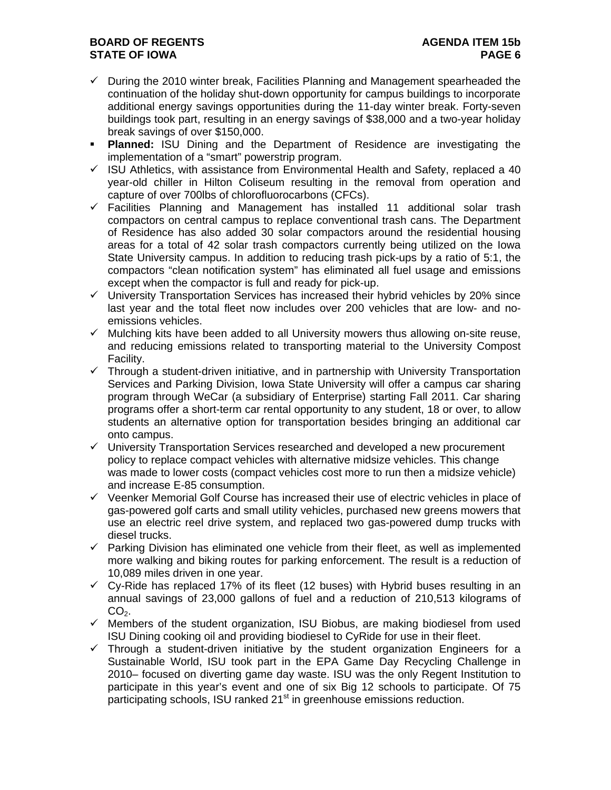# **BOARD OF REGENTS AGENUS AGENDA ITEM 15b STATE OF IOWA** PAGE 6 **PAGE 6**

- $\checkmark$  During the 2010 winter break, Facilities Planning and Management spearheaded the continuation of the holiday shut-down opportunity for campus buildings to incorporate additional energy savings opportunities during the 11-day winter break. Forty-seven buildings took part, resulting in an energy savings of \$38,000 and a two-year holiday break savings of over \$150,000.
- **Planned:** ISU Dining and the Department of Residence are investigating the implementation of a "smart" powerstrip program.
- $\checkmark$  ISU Athletics, with assistance from Environmental Health and Safety, replaced a 40 year-old chiller in Hilton Coliseum resulting in the removal from operation and capture of over 700lbs of chlorofluorocarbons (CFCs).
- $\checkmark$  Facilities Planning and Management has installed 11 additional solar trash compactors on central campus to replace conventional trash cans. The Department of Residence has also added 30 solar compactors around the residential housing areas for a total of 42 solar trash compactors currently being utilized on the Iowa State University campus. In addition to reducing trash pick-ups by a ratio of 5:1, the compactors "clean notification system" has eliminated all fuel usage and emissions except when the compactor is full and ready for pick-up.
- $\checkmark$  University Transportation Services has increased their hybrid vehicles by 20% since last year and the total fleet now includes over 200 vehicles that are low- and noemissions vehicles.
- $\checkmark$  Mulching kits have been added to all University mowers thus allowing on-site reuse, and reducing emissions related to transporting material to the University Compost Facility.
- $\checkmark$  Through a student-driven initiative, and in partnership with University Transportation Services and Parking Division, Iowa State University will offer a campus car sharing program through WeCar (a subsidiary of Enterprise) starting Fall 2011. Car sharing programs offer a short-term car rental opportunity to any student, 18 or over, to allow students an alternative option for transportation besides bringing an additional car onto campus.
- $\checkmark$  University Transportation Services researched and developed a new procurement policy to replace compact vehicles with alternative midsize vehicles. This change was made to lower costs (compact vehicles cost more to run then a midsize vehicle) and increase E-85 consumption.
- $\checkmark$  Veenker Memorial Golf Course has increased their use of electric vehicles in place of gas-powered golf carts and small utility vehicles, purchased new greens mowers that use an electric reel drive system, and replaced two gas-powered dump trucks with diesel trucks.
- $\checkmark$  Parking Division has eliminated one vehicle from their fleet, as well as implemented more walking and biking routes for parking enforcement. The result is a reduction of 10,089 miles driven in one year.
- $\checkmark$  Cy-Ride has replaced 17% of its fleet (12 buses) with Hybrid buses resulting in an annual savings of 23,000 gallons of fuel and a reduction of 210,513 kilograms of  $CO<sub>2</sub>$ .
- $\checkmark$  Members of the student organization, ISU Biobus, are making biodiesel from used ISU Dining cooking oil and providing biodiesel to CyRide for use in their fleet.
- $\checkmark$  Through a student-driven initiative by the student organization Engineers for a Sustainable World, ISU took part in the EPA Game Day Recycling Challenge in 2010– focused on diverting game day waste. ISU was the only Regent Institution to participate in this year's event and one of six Big 12 schools to participate. Of 75 participating schools, ISU ranked 21<sup>st</sup> in greenhouse emissions reduction.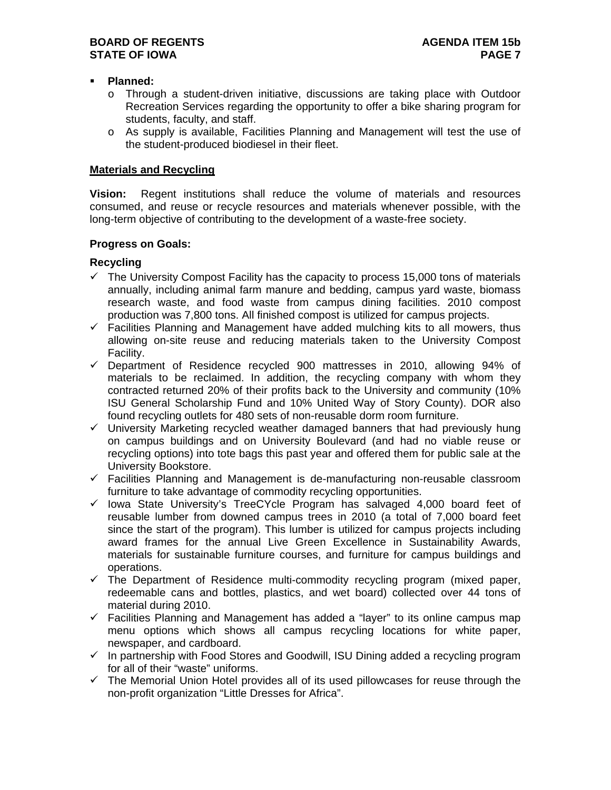## **Planned:**

- o Through a student-driven initiative, discussions are taking place with Outdoor Recreation Services regarding the opportunity to offer a bike sharing program for students, faculty, and staff.
- o As supply is available, Facilities Planning and Management will test the use of the student-produced biodiesel in their fleet.

### **Materials and Recycling**

**Vision:** Regent institutions shall reduce the volume of materials and resources consumed, and reuse or recycle resources and materials whenever possible, with the long-term objective of contributing to the development of a waste-free society.

## **Progress on Goals:**

# **Recycling**

- $\checkmark$  The University Compost Facility has the capacity to process 15,000 tons of materials annually, including animal farm manure and bedding, campus yard waste, biomass research waste, and food waste from campus dining facilities. 2010 compost production was 7,800 tons. All finished compost is utilized for campus projects.
- $\checkmark$  Facilities Planning and Management have added mulching kits to all mowers, thus allowing on-site reuse and reducing materials taken to the University Compost Facility.
- $\checkmark$  Department of Residence recycled 900 mattresses in 2010, allowing 94% of materials to be reclaimed. In addition, the recycling company with whom they contracted returned 20% of their profits back to the University and community (10% ISU General Scholarship Fund and 10% United Way of Story County). DOR also found recycling outlets for 480 sets of non-reusable dorm room furniture.
- $\checkmark$  University Marketing recycled weather damaged banners that had previously hung on campus buildings and on University Boulevard (and had no viable reuse or recycling options) into tote bags this past year and offered them for public sale at the University Bookstore.
- $\checkmark$  Facilities Planning and Management is de-manufacturing non-reusable classroom furniture to take advantage of commodity recycling opportunities.
- $\checkmark$  lowa State University's TreeCYcle Program has salvaged 4,000 board feet of reusable lumber from downed campus trees in 2010 (a total of 7,000 board feet since the start of the program). This lumber is utilized for campus projects including award frames for the annual Live Green Excellence in Sustainability Awards, materials for sustainable furniture courses, and furniture for campus buildings and operations.
- $\checkmark$  The Department of Residence multi-commodity recycling program (mixed paper, redeemable cans and bottles, plastics, and wet board) collected over 44 tons of material during 2010.
- $\checkmark$  Facilities Planning and Management has added a "layer" to its online campus map menu options which shows all campus recycling locations for white paper, newspaper, and cardboard.
- $\checkmark$  In partnership with Food Stores and Goodwill, ISU Dining added a recycling program for all of their "waste" uniforms.
- $\checkmark$  The Memorial Union Hotel provides all of its used pillowcases for reuse through the non-profit organization "Little Dresses for Africa".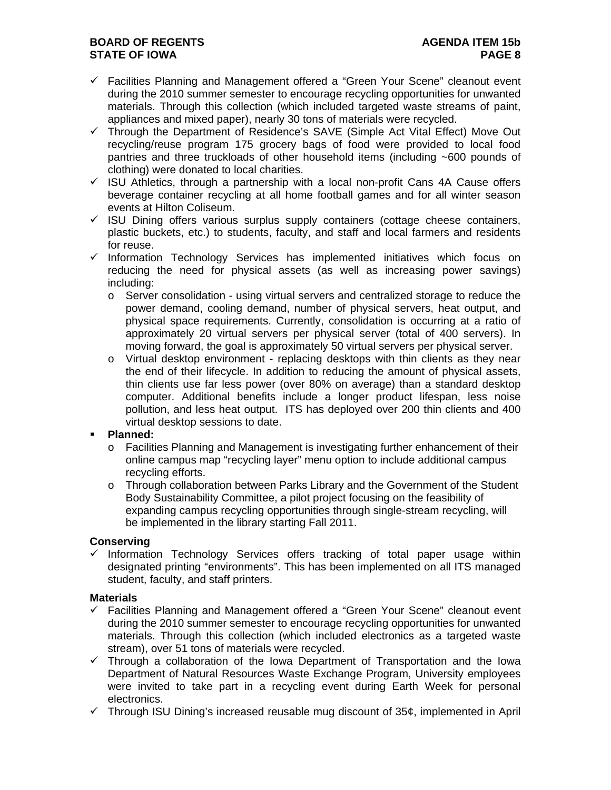# **BOARD OF REGENTS** AGENDA ITEM 15b **STATE OF IOWA** PAGE 8

- $\checkmark$  Facilities Planning and Management offered a "Green Your Scene" cleanout event during the 2010 summer semester to encourage recycling opportunities for unwanted materials. Through this collection (which included targeted waste streams of paint, appliances and mixed paper), nearly 30 tons of materials were recycled.
- $\checkmark$  Through the Department of Residence's SAVE (Simple Act Vital Effect) Move Out recycling/reuse program 175 grocery bags of food were provided to local food pantries and three truckloads of other household items (including ~600 pounds of clothing) were donated to local charities.
- $\checkmark$  ISU Athletics, through a partnership with a local non-profit Cans 4A Cause offers beverage container recycling at all home football games and for all winter season events at Hilton Coliseum.
- $\checkmark$  ISU Dining offers various surplus supply containers (cottage cheese containers, plastic buckets, etc.) to students, faculty, and staff and local farmers and residents for reuse.
- $\checkmark$  Information Technology Services has implemented initiatives which focus on reducing the need for physical assets (as well as increasing power savings) including:
	- o Server consolidation using virtual servers and centralized storage to reduce the power demand, cooling demand, number of physical servers, heat output, and physical space requirements. Currently, consolidation is occurring at a ratio of approximately 20 virtual servers per physical server (total of 400 servers). In moving forward, the goal is approximately 50 virtual servers per physical server.
	- o Virtual desktop environment replacing desktops with thin clients as they near the end of their lifecycle. In addition to reducing the amount of physical assets, thin clients use far less power (over 80% on average) than a standard desktop computer. Additional benefits include a longer product lifespan, less noise pollution, and less heat output. ITS has deployed over 200 thin clients and 400 virtual desktop sessions to date.

# **Planned:**

- o Facilities Planning and Management is investigating further enhancement of their online campus map "recycling layer" menu option to include additional campus recycling efforts.
- o Through collaboration between Parks Library and the Government of the Student Body Sustainability Committee, a pilot project focusing on the feasibility of expanding campus recycling opportunities through single-stream recycling, will be implemented in the library starting Fall 2011.

# **Conserving**

 $\checkmark$  Information Technology Services offers tracking of total paper usage within designated printing "environments". This has been implemented on all ITS managed student, faculty, and staff printers.

# **Materials**

- $\checkmark$  Facilities Planning and Management offered a "Green Your Scene" cleanout event during the 2010 summer semester to encourage recycling opportunities for unwanted materials. Through this collection (which included electronics as a targeted waste stream), over 51 tons of materials were recycled.
- $\checkmark$  Through a collaboration of the Iowa Department of Transportation and the Iowa Department of Natural Resources Waste Exchange Program, University employees were invited to take part in a recycling event during Earth Week for personal electronics.
- $\checkmark$  Through ISU Dining's increased reusable mug discount of 35¢, implemented in April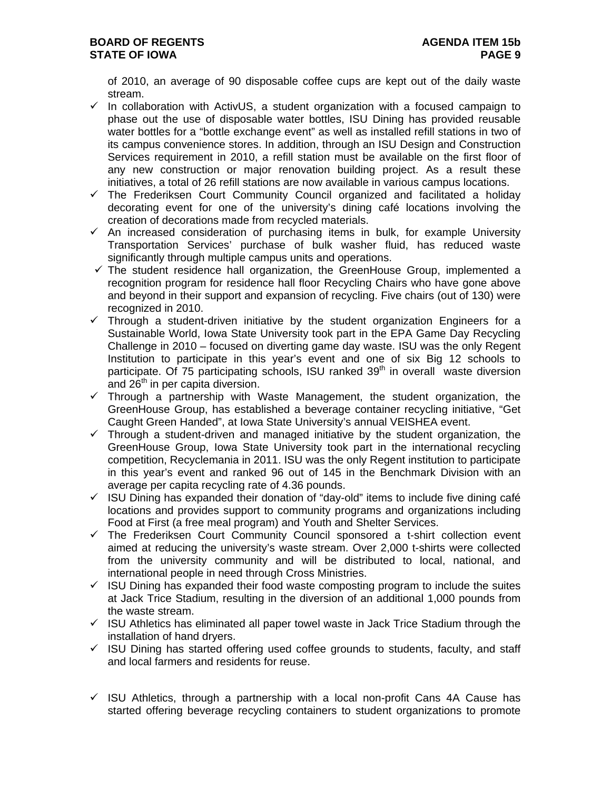of 2010, an average of 90 disposable coffee cups are kept out of the daily waste stream.

- $\checkmark$  In collaboration with ActivUS, a student organization with a focused campaign to phase out the use of disposable water bottles, ISU Dining has provided reusable water bottles for a "bottle exchange event" as well as installed refill stations in two of its campus convenience stores. In addition, through an ISU Design and Construction Services requirement in 2010, a refill station must be available on the first floor of any new construction or major renovation building project. As a result these initiatives, a total of 26 refill stations are now available in various campus locations.
- $\checkmark$  The Frederiksen Court Community Council organized and facilitated a holiday decorating event for one of the university's dining café locations involving the creation of decorations made from recycled materials.
- $\checkmark$  An increased consideration of purchasing items in bulk, for example University Transportation Services' purchase of bulk washer fluid, has reduced waste significantly through multiple campus units and operations.
- $\checkmark$  The student residence hall organization, the GreenHouse Group, implemented a recognition program for residence hall floor Recycling Chairs who have gone above and beyond in their support and expansion of recycling. Five chairs (out of 130) were recognized in 2010.
- $\checkmark$  Through a student-driven initiative by the student organization Engineers for a Sustainable World, Iowa State University took part in the EPA Game Day Recycling Challenge in 2010 – focused on diverting game day waste. ISU was the only Regent Institution to participate in this year's event and one of six Big 12 schools to participate. Of 75 participating schools, ISU ranked  $39<sup>th</sup>$  in overall waste diversion and 26<sup>th</sup> in per capita diversion.
- $\checkmark$  Through a partnership with Waste Management, the student organization, the GreenHouse Group, has established a beverage container recycling initiative, "Get Caught Green Handed", at Iowa State University's annual VEISHEA event.
- $\checkmark$  Through a student-driven and managed initiative by the student organization, the GreenHouse Group, Iowa State University took part in the international recycling competition, Recyclemania in 2011. ISU was the only Regent institution to participate in this year's event and ranked 96 out of 145 in the Benchmark Division with an average per capita recycling rate of 4.36 pounds.
- $\checkmark$  ISU Dining has expanded their donation of "day-old" items to include five dining café locations and provides support to community programs and organizations including Food at First (a free meal program) and Youth and Shelter Services.
- $\checkmark$  The Frederiksen Court Community Council sponsored a t-shirt collection event aimed at reducing the university's waste stream. Over 2,000 t-shirts were collected from the university community and will be distributed to local, national, and international people in need through Cross Ministries.
- $\checkmark$  ISU Dining has expanded their food waste composting program to include the suites at Jack Trice Stadium, resulting in the diversion of an additional 1,000 pounds from the waste stream.
- $\checkmark$  ISU Athletics has eliminated all paper towel waste in Jack Trice Stadium through the installation of hand dryers.
- $\checkmark$  ISU Dining has started offering used coffee grounds to students, faculty, and staff and local farmers and residents for reuse.
- $\checkmark$  ISU Athletics, through a partnership with a local non-profit Cans 4A Cause has started offering beverage recycling containers to student organizations to promote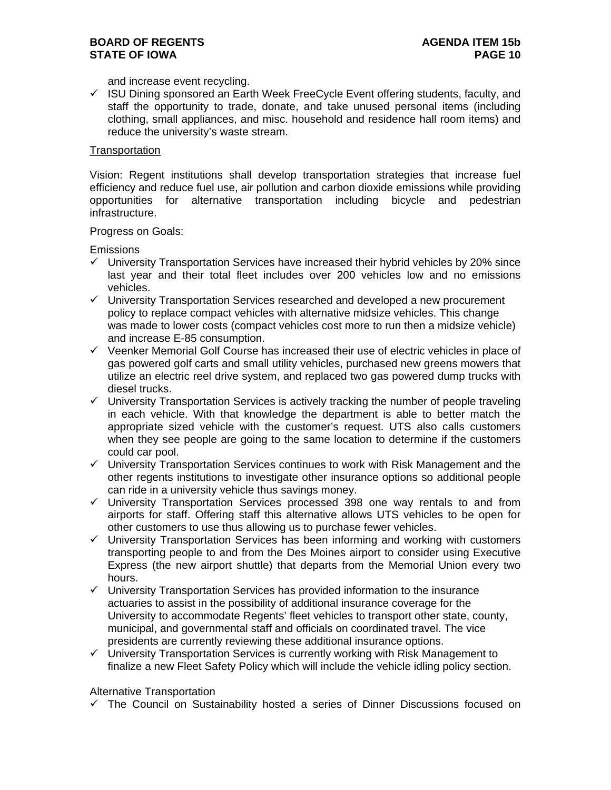and increase event recycling.

 $\checkmark$  ISU Dining sponsored an Earth Week FreeCycle Event offering students, faculty, and staff the opportunity to trade, donate, and take unused personal items (including clothing, small appliances, and misc. household and residence hall room items) and reduce the university's waste stream.

### **Transportation**

Vision: Regent institutions shall develop transportation strategies that increase fuel efficiency and reduce fuel use, air pollution and carbon dioxide emissions while providing opportunities for alternative transportation including bicycle and pedestrian infrastructure.

Progress on Goals:

**Emissions** 

- $\checkmark$  University Transportation Services have increased their hybrid vehicles by 20% since last year and their total fleet includes over 200 vehicles low and no emissions vehicles.
- $\checkmark$  University Transportation Services researched and developed a new procurement policy to replace compact vehicles with alternative midsize vehicles. This change was made to lower costs (compact vehicles cost more to run then a midsize vehicle) and increase E-85 consumption.
- $\checkmark$  Veenker Memorial Golf Course has increased their use of electric vehicles in place of gas powered golf carts and small utility vehicles, purchased new greens mowers that utilize an electric reel drive system, and replaced two gas powered dump trucks with diesel trucks.
- $\checkmark$  University Transportation Services is actively tracking the number of people traveling in each vehicle. With that knowledge the department is able to better match the appropriate sized vehicle with the customer's request. UTS also calls customers when they see people are going to the same location to determine if the customers could car pool.
- $\checkmark$  University Transportation Services continues to work with Risk Management and the other regents institutions to investigate other insurance options so additional people can ride in a university vehicle thus savings money.
- $\checkmark$  University Transportation Services processed 398 one way rentals to and from airports for staff. Offering staff this alternative allows UTS vehicles to be open for other customers to use thus allowing us to purchase fewer vehicles.
- $\checkmark$  University Transportation Services has been informing and working with customers transporting people to and from the Des Moines airport to consider using Executive Express (the new airport shuttle) that departs from the Memorial Union every two hours.
- $\checkmark$  University Transportation Services has provided information to the insurance actuaries to assist in the possibility of additional insurance coverage for the University to accommodate Regents' fleet vehicles to transport other state, county, municipal, and governmental staff and officials on coordinated travel. The vice presidents are currently reviewing these additional insurance options.
- $\checkmark$  University Transportation Services is currently working with Risk Management to finalize a new Fleet Safety Policy which will include the vehicle idling policy section.

Alternative Transportation

 $\checkmark$  The Council on Sustainability hosted a series of Dinner Discussions focused on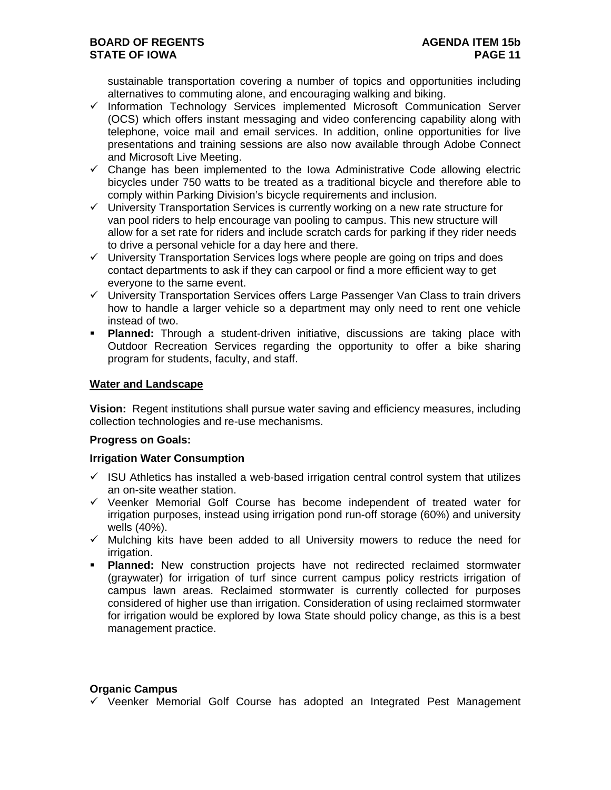sustainable transportation covering a number of topics and opportunities including alternatives to commuting alone, and encouraging walking and biking.

- $\checkmark$  Information Technology Services implemented Microsoft Communication Server (OCS) which offers instant messaging and video conferencing capability along with telephone, voice mail and email services. In addition, online opportunities for live presentations and training sessions are also now available through Adobe Connect and Microsoft Live Meeting.
- $\checkmark$  Change has been implemented to the Iowa Administrative Code allowing electric bicycles under 750 watts to be treated as a traditional bicycle and therefore able to comply within Parking Division's bicycle requirements and inclusion.
- $\checkmark$  University Transportation Services is currently working on a new rate structure for van pool riders to help encourage van pooling to campus. This new structure will allow for a set rate for riders and include scratch cards for parking if they rider needs to drive a personal vehicle for a day here and there.
- $\checkmark$  University Transportation Services logs where people are going on trips and does contact departments to ask if they can carpool or find a more efficient way to get everyone to the same event.
- $\checkmark$  University Transportation Services offers Large Passenger Van Class to train drivers how to handle a larger vehicle so a department may only need to rent one vehicle instead of two.
- **Planned:** Through a student-driven initiative, discussions are taking place with Outdoor Recreation Services regarding the opportunity to offer a bike sharing program for students, faculty, and staff.

### **Water and Landscape**

**Vision:** Regent institutions shall pursue water saving and efficiency measures, including collection technologies and re-use mechanisms.

### **Progress on Goals:**

### **Irrigation Water Consumption**

- $\checkmark$  ISU Athletics has installed a web-based irrigation central control system that utilizes an on-site weather station.
- $\checkmark$  Veenker Memorial Golf Course has become independent of treated water for irrigation purposes, instead using irrigation pond run-off storage (60%) and university wells (40%).
- $\checkmark$  Mulching kits have been added to all University mowers to reduce the need for irrigation.
- **Planned:** New construction projects have not redirected reclaimed stormwater (graywater) for irrigation of turf since current campus policy restricts irrigation of campus lawn areas. Reclaimed stormwater is currently collected for purposes considered of higher use than irrigation. Consideration of using reclaimed stormwater for irrigation would be explored by Iowa State should policy change, as this is a best management practice.

# **Organic Campus**

 $\checkmark$  Veenker Memorial Golf Course has adopted an Integrated Pest Management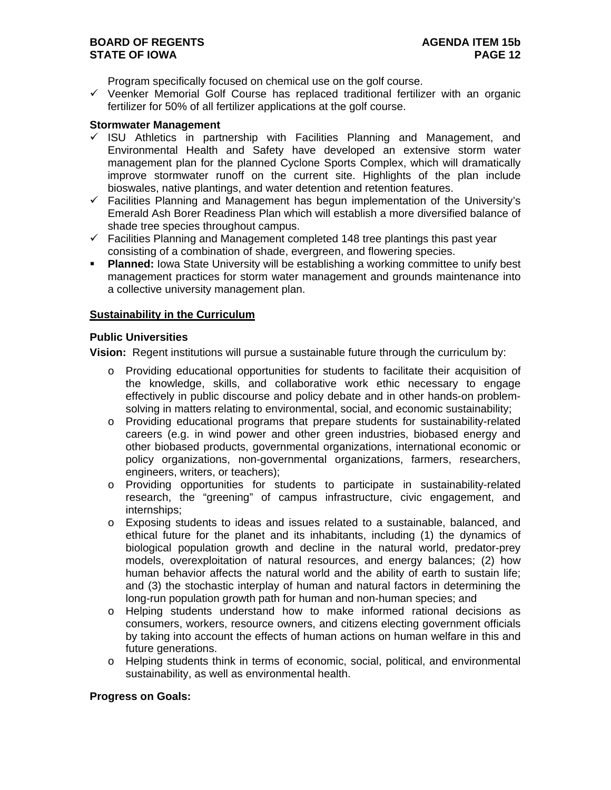Program specifically focused on chemical use on the golf course.

 $\checkmark$  Veenker Memorial Golf Course has replaced traditional fertilizer with an organic fertilizer for 50% of all fertilizer applications at the golf course.

#### **Stormwater Management**

- $\checkmark$  ISU Athletics in partnership with Facilities Planning and Management, and Environmental Health and Safety have developed an extensive storm water management plan for the planned Cyclone Sports Complex, which will dramatically improve stormwater runoff on the current site. Highlights of the plan include bioswales, native plantings, and water detention and retention features.
- $\checkmark$  Facilities Planning and Management has begun implementation of the University's Emerald Ash Borer Readiness Plan which will establish a more diversified balance of shade tree species throughout campus.
- $\checkmark$  Facilities Planning and Management completed 148 tree plantings this past year consisting of a combination of shade, evergreen, and flowering species.
- **Planned:** lowa State University will be establishing a working committee to unify best management practices for storm water management and grounds maintenance into a collective university management plan.

### **Sustainability in the Curriculum**

#### **Public Universities**

**Vision:** Regent institutions will pursue a sustainable future through the curriculum by:

- o Providing educational opportunities for students to facilitate their acquisition of the knowledge, skills, and collaborative work ethic necessary to engage effectively in public discourse and policy debate and in other hands-on problemsolving in matters relating to environmental, social, and economic sustainability;
- o Providing educational programs that prepare students for sustainability-related careers (e.g. in wind power and other green industries, biobased energy and other biobased products, governmental organizations, international economic or policy organizations, non-governmental organizations, farmers, researchers, engineers, writers, or teachers);
- o Providing opportunities for students to participate in sustainability-related research, the "greening" of campus infrastructure, civic engagement, and internships;
- o Exposing students to ideas and issues related to a sustainable, balanced, and ethical future for the planet and its inhabitants, including (1) the dynamics of biological population growth and decline in the natural world, predator-prey models, overexploitation of natural resources, and energy balances; (2) how human behavior affects the natural world and the ability of earth to sustain life; and (3) the stochastic interplay of human and natural factors in determining the long-run population growth path for human and non-human species; and
- o Helping students understand how to make informed rational decisions as consumers, workers, resource owners, and citizens electing government officials by taking into account the effects of human actions on human welfare in this and future generations.
- o Helping students think in terms of economic, social, political, and environmental sustainability, as well as environmental health.

### **Progress on Goals:**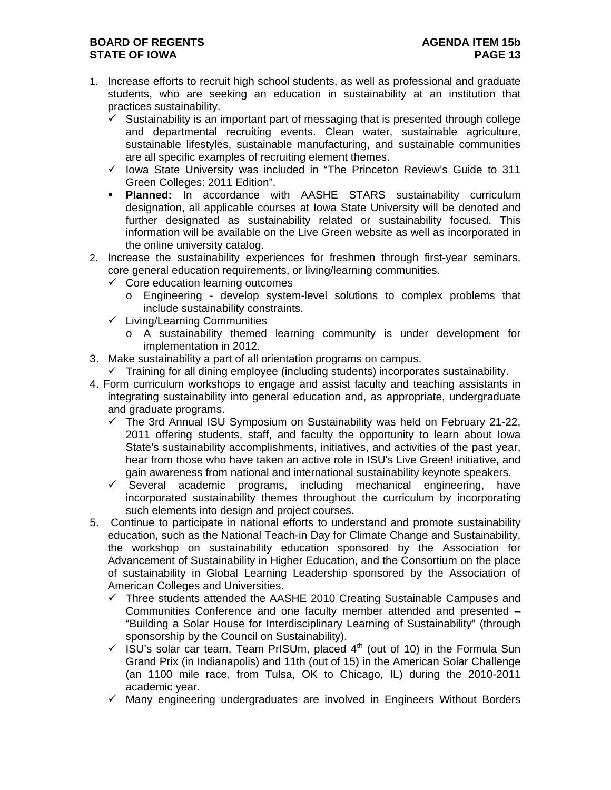# **BOARD OF REGENTS AGENUS AGENDA ITEM 15b STATE OF IOWA PAGE 13**

- 1. Increase efforts to recruit high school students, as well as professional and graduate students, who are seeking an education in sustainability at an institution that practices sustainability.
	- $\checkmark$  Sustainability is an important part of messaging that is presented through college and departmental recruiting events. Clean water, sustainable agriculture, sustainable lifestyles, sustainable manufacturing, and sustainable communities are all specific examples of recruiting element themes.
	- $\checkmark$  lowa State University was included in "The Princeton Review's Guide to 311 Green Colleges: 2011 Edition".
	- **Planned:** In accordance with AASHE STARS sustainability curriculum designation, all applicable courses at Iowa State University will be denoted and further designated as sustainability related or sustainability focused. This information will be available on the Live Green website as well as incorporated in the online university catalog.
- 2. Increase the sustainability experiences for freshmen through first-year seminars, core general education requirements, or living/learning communities.
	- $\checkmark$  Core education learning outcomes
		- o Engineering develop system-level solutions to complex problems that include sustainability constraints.
	- $\checkmark$  Living/Learning Communities
		- o A sustainability themed learning community is under development for implementation in 2012.
- 3. Make sustainability a part of all orientation programs on campus.
	- $\checkmark$  Training for all dining employee (including students) incorporates sustainability.
- 4. Form curriculum workshops to engage and assist faculty and teaching assistants in integrating sustainability into general education and, as appropriate, undergraduate and graduate programs.
	- $\checkmark$  The 3rd Annual ISU Symposium on Sustainability was held on February 21-22, 2011 offering students, staff, and faculty the opportunity to learn about Iowa State's sustainability accomplishments, initiatives, and activities of the past year, hear from those who have taken an active role in ISU's Live Green! initiative, and gain awareness from national and international sustainability keynote speakers.
	- $\checkmark$  Several academic programs, including mechanical engineering, have incorporated sustainability themes throughout the curriculum by incorporating such elements into design and project courses.
- 5. Continue to participate in national efforts to understand and promote sustainability education, such as the National Teach-in Day for Climate Change and Sustainability, the workshop on sustainability education sponsored by the Association for Advancement of Sustainability in Higher Education, and the Consortium on the place of sustainability in Global Learning Leadership sponsored by the Association of American Colleges and Universities.
	- $\checkmark$  Three students attended the AASHE 2010 Creating Sustainable Campuses and Communities Conference and one faculty member attended and presented – "Building a Solar House for Interdisciplinary Learning of Sustainability" (through sponsorship by the Council on Sustainability).
	- $\checkmark$  ISU's solar car team, Team PrISUm, placed 4<sup>th</sup> (out of 10) in the Formula Sun Grand Prix (in Indianapolis) and 11th (out of 15) in the American Solar Challenge (an 1100 mile race, from Tulsa, OK to Chicago, IL) during the 2010-2011 academic year.
	- $\checkmark$  Many engineering undergraduates are involved in Engineers Without Borders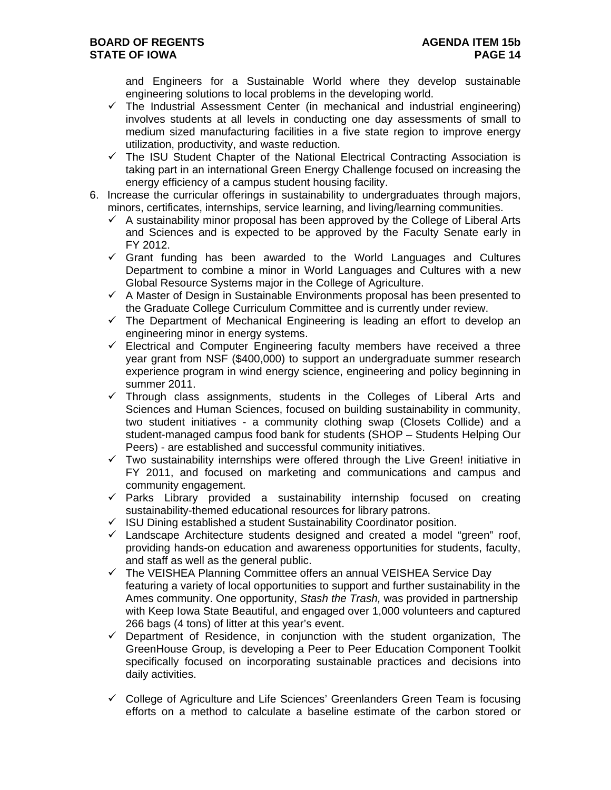and Engineers for a Sustainable World where they develop sustainable engineering solutions to local problems in the developing world.

- $\checkmark$  The Industrial Assessment Center (in mechanical and industrial engineering) involves students at all levels in conducting one day assessments of small to medium sized manufacturing facilities in a five state region to improve energy utilization, productivity, and waste reduction.
- $\checkmark$  The ISU Student Chapter of the National Electrical Contracting Association is taking part in an international Green Energy Challenge focused on increasing the energy efficiency of a campus student housing facility.
- 6. Increase the curricular offerings in sustainability to undergraduates through majors, minors, certificates, internships, service learning, and living/learning communities.
	- $\checkmark$  A sustainability minor proposal has been approved by the College of Liberal Arts and Sciences and is expected to be approved by the Faculty Senate early in FY 2012.
	- $\checkmark$  Grant funding has been awarded to the World Languages and Cultures Department to combine a minor in World Languages and Cultures with a new Global Resource Systems major in the College of Agriculture.
	- $\checkmark$  A Master of Design in Sustainable Environments proposal has been presented to the Graduate College Curriculum Committee and is currently under review.
	- $\checkmark$  The Department of Mechanical Engineering is leading an effort to develop an engineering minor in energy systems.
	- $\checkmark$  Electrical and Computer Engineering faculty members have received a three year grant from NSF (\$400,000) to support an undergraduate summer research experience program in wind energy science, engineering and policy beginning in summer 2011.
	- $\checkmark$  Through class assignments, students in the Colleges of Liberal Arts and Sciences and Human Sciences, focused on building sustainability in community, two student initiatives - a community clothing swap (Closets Collide) and a student-managed campus food bank for students (SHOP – Students Helping Our Peers) - are established and successful community initiatives.
	- $\checkmark$  Two sustainability internships were offered through the Live Green! initiative in FY 2011, and focused on marketing and communications and campus and community engagement.
	- $\checkmark$  Parks Library provided a sustainability internship focused on creating sustainability-themed educational resources for library patrons.
	- $\checkmark$  ISU Dining established a student Sustainability Coordinator position.
	- $\checkmark$  Landscape Architecture students designed and created a model "green" roof, providing hands-on education and awareness opportunities for students, faculty, and staff as well as the general public.
	- $\checkmark$  The VEISHEA Planning Committee offers an annual VEISHEA Service Day featuring a variety of local opportunities to support and further sustainability in the Ames community. One opportunity, *Stash the Trash,* was provided in partnership with Keep Iowa State Beautiful, and engaged over 1,000 volunteers and captured 266 bags (4 tons) of litter at this year's event.
	- $\checkmark$  Department of Residence, in conjunction with the student organization, The GreenHouse Group, is developing a Peer to Peer Education Component Toolkit specifically focused on incorporating sustainable practices and decisions into daily activities.
	- $\checkmark$  College of Agriculture and Life Sciences' Greenlanders Green Team is focusing efforts on a method to calculate a baseline estimate of the carbon stored or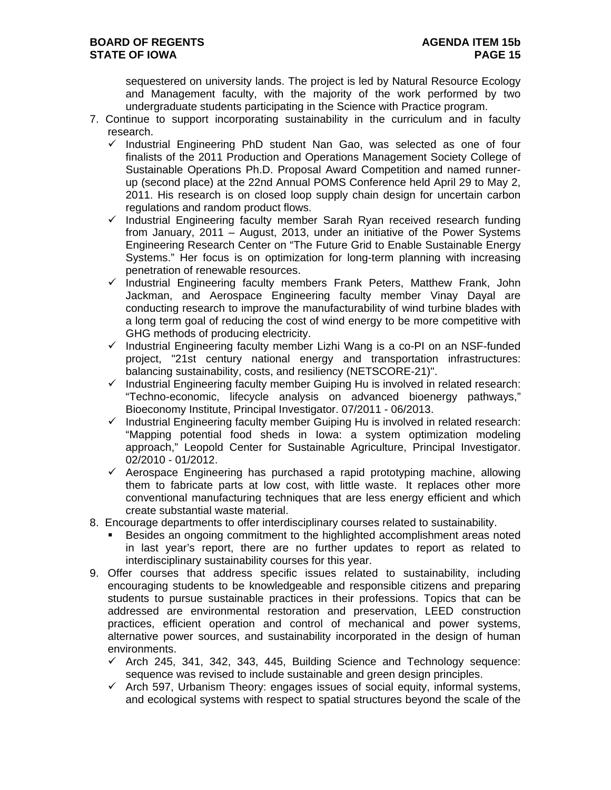sequestered on university lands. The project is led by Natural Resource Ecology and Management faculty, with the majority of the work performed by two undergraduate students participating in the Science with Practice program.

- 7. Continue to support incorporating sustainability in the curriculum and in faculty research.
	- $\checkmark$  Industrial Engineering PhD student Nan Gao, was selected as one of four finalists of the 2011 Production and Operations Management Society College of Sustainable Operations Ph.D. Proposal Award Competition and named runnerup (second place) at the 22nd Annual POMS Conference held April 29 to May 2, 2011. His research is on closed loop supply chain design for uncertain carbon regulations and random product flows.
	- $\checkmark$  Industrial Engineering faculty member Sarah Ryan received research funding from January, 2011 – August, 2013, under an initiative of the Power Systems Engineering Research Center on "The Future Grid to Enable Sustainable Energy Systems." Her focus is on optimization for long-term planning with increasing penetration of renewable resources.
	- $\checkmark$  Industrial Engineering faculty members Frank Peters, Matthew Frank, John Jackman, and Aerospace Engineering faculty member Vinay Dayal are conducting research to improve the manufacturability of wind turbine blades with a long term goal of reducing the cost of wind energy to be more competitive with GHG methods of producing electricity.
	- $\checkmark$  Industrial Engineering faculty member Lizhi Wang is a co-PI on an NSF-funded project, "21st century national energy and transportation infrastructures: balancing sustainability, costs, and resiliency (NETSCORE-21)".
	- $\checkmark$  Industrial Engineering faculty member Guiping Hu is involved in related research: "Techno-economic, lifecycle analysis on advanced bioenergy pathways," Bioeconomy Institute, Principal Investigator. 07/2011 - 06/2013.
	- $\checkmark$  Industrial Engineering faculty member Guiping Hu is involved in related research: "Mapping potential food sheds in Iowa: a system optimization modeling approach," Leopold Center for Sustainable Agriculture, Principal Investigator. 02/2010 - 01/2012.
	- $\checkmark$  Aerospace Engineering has purchased a rapid prototyping machine, allowing them to fabricate parts at low cost, with little waste. It replaces other more conventional manufacturing techniques that are less energy efficient and which create substantial waste material.
- 8. Encourage departments to offer interdisciplinary courses related to sustainability.
	- Besides an ongoing commitment to the highlighted accomplishment areas noted in last year's report, there are no further updates to report as related to interdisciplinary sustainability courses for this year.
- 9. Offer courses that address specific issues related to sustainability, including encouraging students to be knowledgeable and responsible citizens and preparing students to pursue sustainable practices in their professions. Topics that can be addressed are environmental restoration and preservation, LEED construction practices, efficient operation and control of mechanical and power systems, alternative power sources, and sustainability incorporated in the design of human environments.
	- $\checkmark$  Arch 245, 341, 342, 343, 445, Building Science and Technology sequence: sequence was revised to include sustainable and green design principles.
	- $\checkmark$  Arch 597, Urbanism Theory: engages issues of social equity, informal systems, and ecological systems with respect to spatial structures beyond the scale of the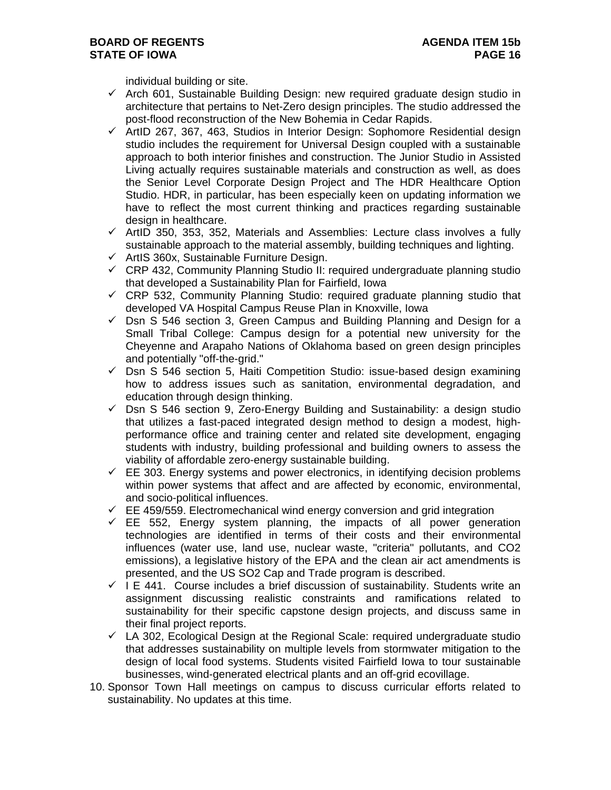individual building or site.

- $\checkmark$  Arch 601, Sustainable Building Design: new required graduate design studio in architecture that pertains to Net-Zero design principles. The studio addressed the post-flood reconstruction of the New Bohemia in Cedar Rapids.
- $\checkmark$  ArtID 267, 367, 463, Studios in Interior Design: Sophomore Residential design studio includes the requirement for Universal Design coupled with a sustainable approach to both interior finishes and construction. The Junior Studio in Assisted Living actually requires sustainable materials and construction as well, as does the Senior Level Corporate Design Project and The HDR Healthcare Option Studio. HDR, in particular, has been especially keen on updating information we have to reflect the most current thinking and practices regarding sustainable design in healthcare.
- $\checkmark$  ArtID 350, 353, 352, Materials and Assemblies: Lecture class involves a fully sustainable approach to the material assembly, building techniques and lighting.
- $\checkmark$  ArtIS 360x, Sustainable Furniture Design.
- $\checkmark$  CRP 432, Community Planning Studio II: required undergraduate planning studio that developed a Sustainability Plan for Fairfield, Iowa
- $\checkmark$  CRP 532, Community Planning Studio: required graduate planning studio that developed VA Hospital Campus Reuse Plan in Knoxville, Iowa
- $\checkmark$  Dsn S 546 section 3, Green Campus and Building Planning and Design for a Small Tribal College: Campus design for a potential new university for the Cheyenne and Arapaho Nations of Oklahoma based on green design principles and potentially "off-the-grid."
- $\checkmark$  Dsn S 546 section 5, Haiti Competition Studio: issue-based design examining how to address issues such as sanitation, environmental degradation, and education through design thinking.
- $\checkmark$  Dsn S 546 section 9, Zero-Energy Building and Sustainability: a design studio that utilizes a fast-paced integrated design method to design a modest, highperformance office and training center and related site development, engaging students with industry, building professional and building owners to assess the viability of affordable zero-energy sustainable building.
- $\checkmark$  EE 303. Energy systems and power electronics, in identifying decision problems within power systems that affect and are affected by economic, environmental, and socio-political influences.
- $\checkmark$  EE 459/559. Electromechanical wind energy conversion and grid integration
- $\checkmark$  EE 552, Energy system planning, the impacts of all power generation technologies are identified in terms of their costs and their environmental influences (water use, land use, nuclear waste, "criteria" pollutants, and CO2 emissions), a legislative history of the EPA and the clean air act amendments is presented, and the US SO2 Cap and Trade program is described.
- $\checkmark$  I E 441. Course includes a brief discussion of sustainability. Students write an assignment discussing realistic constraints and ramifications related to sustainability for their specific capstone design projects, and discuss same in their final project reports.
- $\checkmark$  LA 302, Ecological Design at the Regional Scale: required undergraduate studio that addresses sustainability on multiple levels from stormwater mitigation to the design of local food systems. Students visited Fairfield Iowa to tour sustainable businesses, wind-generated electrical plants and an off-grid ecovillage.
- 10. Sponsor Town Hall meetings on campus to discuss curricular efforts related to sustainability. No updates at this time.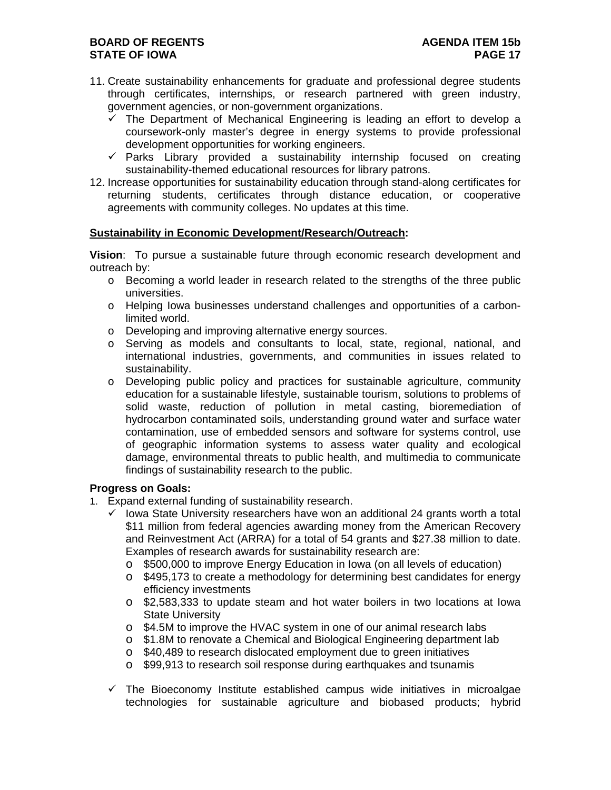- 11. Create sustainability enhancements for graduate and professional degree students through certificates, internships, or research partnered with green industry, government agencies, or non-government organizations.
	- $\checkmark$  The Department of Mechanical Engineering is leading an effort to develop a coursework-only master's degree in energy systems to provide professional development opportunities for working engineers.
	- $\checkmark$  Parks Library provided a sustainability internship focused on creating sustainability-themed educational resources for library patrons.
- 12. Increase opportunities for sustainability education through stand-along certificates for returning students, certificates through distance education, or cooperative agreements with community colleges. No updates at this time.

## **Sustainability in Economic Development/Research/Outreach:**

**Vision**: To pursue a sustainable future through economic research development and outreach by:

- o Becoming a world leader in research related to the strengths of the three public universities.
- o Helping Iowa businesses understand challenges and opportunities of a carbonlimited world.
- o Developing and improving alternative energy sources.
- o Serving as models and consultants to local, state, regional, national, and international industries, governments, and communities in issues related to sustainability.
- o Developing public policy and practices for sustainable agriculture, community education for a sustainable lifestyle, sustainable tourism, solutions to problems of solid waste, reduction of pollution in metal casting, bioremediation of hydrocarbon contaminated soils, understanding ground water and surface water contamination, use of embedded sensors and software for systems control, use of geographic information systems to assess water quality and ecological damage, environmental threats to public health, and multimedia to communicate findings of sustainability research to the public.

### **Progress on Goals:**

- 1. Expand external funding of sustainability research.
	- Iowa State University researchers have won an additional 24 grants worth a total \$11 million from federal agencies awarding money from the American Recovery and Reinvestment Act (ARRA) for a total of 54 grants and \$27.38 million to date. Examples of research awards for sustainability research are:
		- o \$500,000 to improve Energy Education in Iowa (on all levels of education)
		- o \$495,173 to create a methodology for determining best candidates for energy efficiency investments
		- o \$2,583,333 to update steam and hot water boilers in two locations at Iowa State University
		- o \$4.5M to improve the HVAC system in one of our animal research labs
		- o \$1.8M to renovate a Chemical and Biological Engineering department lab
		- o \$40,489 to research dislocated employment due to green initiatives
		- o \$99,913 to research soil response during earthquakes and tsunamis
	- $\checkmark$  The Bioeconomy Institute established campus wide initiatives in microalgae technologies for sustainable agriculture and biobased products; hybrid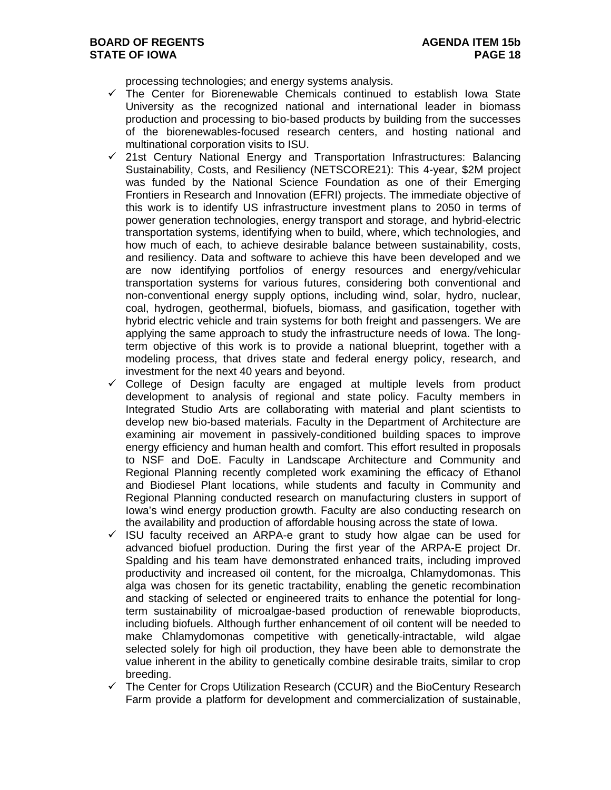processing technologies; and energy systems analysis.

- $\checkmark$  The Center for Biorenewable Chemicals continued to establish Iowa State University as the recognized national and international leader in biomass production and processing to bio-based products by building from the successes of the biorenewables-focused research centers, and hosting national and multinational corporation visits to ISU.
- $\checkmark$  21st Century National Energy and Transportation Infrastructures: Balancing Sustainability, Costs, and Resiliency (NETSCORE21): This 4-year, \$2M project was funded by the National Science Foundation as one of their Emerging Frontiers in Research and Innovation (EFRI) projects. The immediate objective of this work is to identify US infrastructure investment plans to 2050 in terms of power generation technologies, energy transport and storage, and hybrid-electric transportation systems, identifying when to build, where, which technologies, and how much of each, to achieve desirable balance between sustainability, costs, and resiliency. Data and software to achieve this have been developed and we are now identifying portfolios of energy resources and energy/vehicular transportation systems for various futures, considering both conventional and non-conventional energy supply options, including wind, solar, hydro, nuclear, coal, hydrogen, geothermal, biofuels, biomass, and gasification, together with hybrid electric vehicle and train systems for both freight and passengers. We are applying the same approach to study the infrastructure needs of Iowa. The longterm objective of this work is to provide a national blueprint, together with a modeling process, that drives state and federal energy policy, research, and investment for the next 40 years and beyond.
- $\checkmark$  College of Design faculty are engaged at multiple levels from product development to analysis of regional and state policy. Faculty members in Integrated Studio Arts are collaborating with material and plant scientists to develop new bio-based materials. Faculty in the Department of Architecture are examining air movement in passively-conditioned building spaces to improve energy efficiency and human health and comfort. This effort resulted in proposals to NSF and DoE. Faculty in Landscape Architecture and Community and Regional Planning recently completed work examining the efficacy of Ethanol and Biodiesel Plant locations, while students and faculty in Community and Regional Planning conducted research on manufacturing clusters in support of Iowa's wind energy production growth. Faculty are also conducting research on the availability and production of affordable housing across the state of Iowa.
- ISU faculty received an ARPA-e grant to study how algae can be used for advanced biofuel production. During the first year of the ARPA-E project Dr. Spalding and his team have demonstrated enhanced traits, including improved productivity and increased oil content, for the microalga, Chlamydomonas. This alga was chosen for its genetic tractability, enabling the genetic recombination and stacking of selected or engineered traits to enhance the potential for longterm sustainability of microalgae-based production of renewable bioproducts, including biofuels. Although further enhancement of oil content will be needed to make Chlamydomonas competitive with genetically-intractable, wild algae selected solely for high oil production, they have been able to demonstrate the value inherent in the ability to genetically combine desirable traits, similar to crop breeding.
- $\checkmark$  The Center for Crops Utilization Research (CCUR) and the BioCentury Research Farm provide a platform for development and commercialization of sustainable,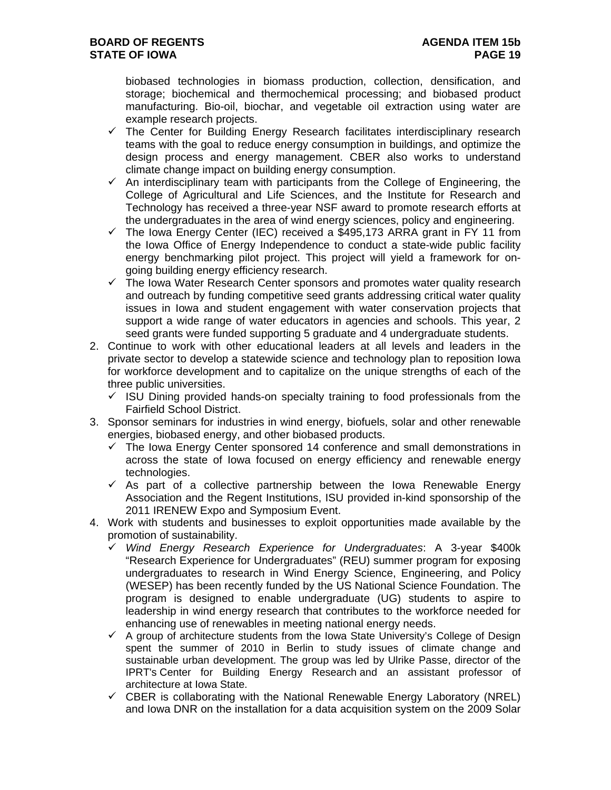biobased technologies in biomass production, collection, densification, and storage; biochemical and thermochemical processing; and biobased product manufacturing. Bio-oil, biochar, and vegetable oil extraction using water are example research projects.

- $\checkmark$  The Center for Building Energy Research facilitates interdisciplinary research teams with the goal to reduce energy consumption in buildings, and optimize the design process and energy management. CBER also works to understand climate change impact on building energy consumption.
- $\checkmark$  An interdisciplinary team with participants from the College of Engineering, the College of Agricultural and Life Sciences, and the Institute for Research and Technology has received a three-year NSF award to promote research efforts at the undergraduates in the area of wind energy sciences, policy and engineering.
- $\checkmark$  The Iowa Energy Center (IEC) received a \$495,173 ARRA grant in FY 11 from the Iowa Office of Energy Independence to conduct a state-wide public facility energy benchmarking pilot project. This project will yield a framework for ongoing building energy efficiency research.
- $\checkmark$  The Iowa Water Research Center sponsors and promotes water quality research and outreach by funding competitive seed grants addressing critical water quality issues in Iowa and student engagement with water conservation projects that support a wide range of water educators in agencies and schools. This year, 2 seed grants were funded supporting 5 graduate and 4 undergraduate students.
- 2. Continue to work with other educational leaders at all levels and leaders in the private sector to develop a statewide science and technology plan to reposition Iowa for workforce development and to capitalize on the unique strengths of each of the three public universities.
	- $\checkmark$  ISU Dining provided hands-on specialty training to food professionals from the Fairfield School District.
- 3. Sponsor seminars for industries in wind energy, biofuels, solar and other renewable energies, biobased energy, and other biobased products.
	- $\checkmark$  The Iowa Energy Center sponsored 14 conference and small demonstrations in across the state of Iowa focused on energy efficiency and renewable energy technologies.
	- $\checkmark$  As part of a collective partnership between the Iowa Renewable Energy Association and the Regent Institutions, ISU provided in-kind sponsorship of the 2011 IRENEW Expo and Symposium Event.
- 4. Work with students and businesses to exploit opportunities made available by the promotion of sustainability.
	- *Wind Energy Research Experience for Undergraduates*: A 3-year \$400k "Research Experience for Undergraduates" (REU) summer program for exposing undergraduates to research in Wind Energy Science, Engineering, and Policy (WESEP) has been recently funded by the US National Science Foundation. The program is designed to enable undergraduate (UG) students to aspire to leadership in wind energy research that contributes to the workforce needed for enhancing use of renewables in meeting national energy needs.
	- $\checkmark$  A group of architecture students from the Iowa State University's College of Design spent the summer of 2010 in Berlin to study issues of climate change and sustainable urban development. The group was led by Ulrike Passe, director of the IPRT's Center for Building Energy Research and an assistant professor of architecture at Iowa State.
	- $\checkmark$  CBER is collaborating with the National Renewable Energy Laboratory (NREL) and Iowa DNR on the installation for a data acquisition system on the 2009 Solar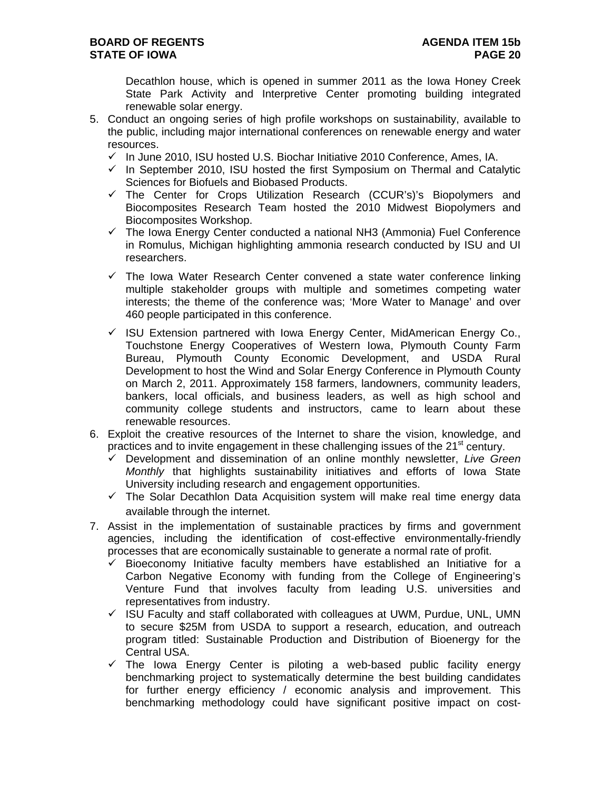Decathlon house, which is opened in summer 2011 as the Iowa Honey Creek State Park Activity and Interpretive Center promoting building integrated renewable solar energy.

- 5. Conduct an ongoing series of high profile workshops on sustainability, available to the public, including major international conferences on renewable energy and water resources.
	- $\checkmark$  In June 2010, ISU hosted U.S. Biochar Initiative 2010 Conference, Ames, IA.
	- $\checkmark$  In September 2010, ISU hosted the first Symposium on Thermal and Catalytic Sciences for Biofuels and Biobased Products.
	- $\checkmark$  The Center for Crops Utilization Research (CCUR's)'s Biopolymers and Biocomposites Research Team hosted the 2010 Midwest Biopolymers and Biocomposites Workshop.
	- $\checkmark$  The Iowa Energy Center conducted a national NH3 (Ammonia) Fuel Conference in Romulus, Michigan highlighting ammonia research conducted by ISU and UI researchers.
	- $\checkmark$  The Iowa Water Research Center convened a state water conference linking multiple stakeholder groups with multiple and sometimes competing water interests; the theme of the conference was; 'More Water to Manage' and over 460 people participated in this conference.
	- $\checkmark$  ISU Extension partnered with Iowa Energy Center, MidAmerican Energy Co., Touchstone Energy Cooperatives of Western Iowa, Plymouth County Farm Bureau, Plymouth County Economic Development, and USDA Rural Development to host the Wind and Solar Energy Conference in Plymouth County on March 2, 2011. Approximately 158 farmers, landowners, community leaders, bankers, local officials, and business leaders, as well as high school and community college students and instructors, came to learn about these renewable resources.
- 6. Exploit the creative resources of the Internet to share the vision, knowledge, and practices and to invite engagement in these challenging issues of the 21<sup>st</sup> century.
	- Development and dissemination of an online monthly newsletter, *Live Green Monthly* that highlights sustainability initiatives and efforts of Iowa State University including research and engagement opportunities.
	- $\checkmark$  The Solar Decathlon Data Acquisition system will make real time energy data available through the internet.
- 7. Assist in the implementation of sustainable practices by firms and government agencies, including the identification of cost-effective environmentally-friendly processes that are economically sustainable to generate a normal rate of profit.
	- $\checkmark$  Bioeconomy Initiative faculty members have established an Initiative for a Carbon Negative Economy with funding from the College of Engineering's Venture Fund that involves faculty from leading U.S. universities and representatives from industry.
	- $\checkmark$  ISU Faculty and staff collaborated with colleagues at UWM, Purdue, UNL, UMN to secure \$25M from USDA to support a research, education, and outreach program titled: Sustainable Production and Distribution of Bioenergy for the Central USA.
	- $\checkmark$  The Iowa Energy Center is piloting a web-based public facility energy benchmarking project to systematically determine the best building candidates for further energy efficiency / economic analysis and improvement. This benchmarking methodology could have significant positive impact on cost-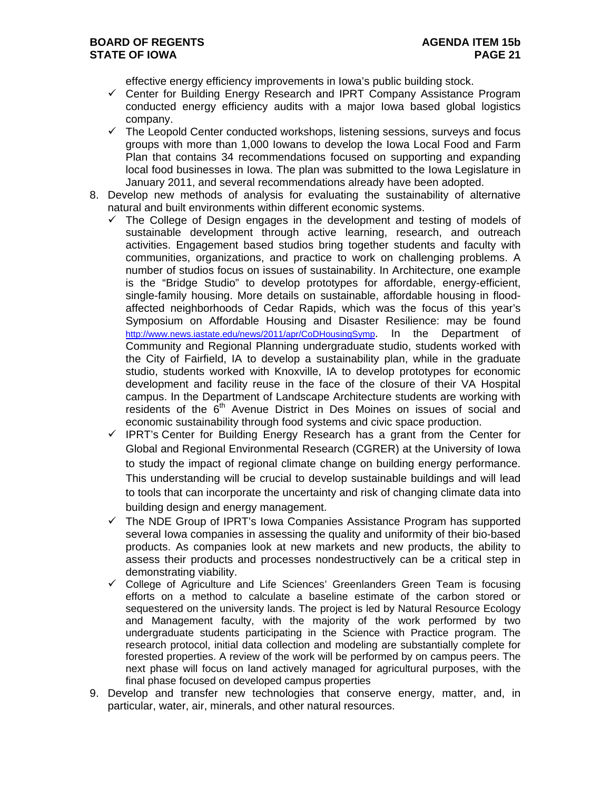effective energy efficiency improvements in Iowa's public building stock.

- $\checkmark$  Center for Building Energy Research and IPRT Company Assistance Program conducted energy efficiency audits with a major Iowa based global logistics company.
- $\checkmark$  The Leopold Center conducted workshops, listening sessions, surveys and focus groups with more than 1,000 Iowans to develop the Iowa Local Food and Farm Plan that contains 34 recommendations focused on supporting and expanding local food businesses in Iowa. The plan was submitted to the Iowa Legislature in January 2011, and several recommendations already have been adopted.
- 8. Develop new methods of analysis for evaluating the sustainability of alternative natural and built environments within different economic systems.
	- $\checkmark$  The College of Design engages in the development and testing of models of sustainable development through active learning, research, and outreach activities. Engagement based studios bring together students and faculty with communities, organizations, and practice to work on challenging problems. A number of studios focus on issues of sustainability. In Architecture, one example is the "Bridge Studio" to develop prototypes for affordable, energy-efficient, single-family housing. More details on sustainable, affordable housing in floodaffected neighborhoods of Cedar Rapids, which was the focus of this year's Symposium on Affordable Housing and Disaster Resilience: may be found http://www.news.iastate.edu/news/2011/apr/CoDHousingSymp. In the Department of Community and Regional Planning undergraduate studio, students worked with the City of Fairfield, IA to develop a sustainability plan, while in the graduate studio, students worked with Knoxville, IA to develop prototypes for economic development and facility reuse in the face of the closure of their VA Hospital campus. In the Department of Landscape Architecture students are working with residents of the  $6<sup>th</sup>$  Avenue District in Des Moines on issues of social and economic sustainability through food systems and civic space production.
	- $\checkmark$  IPRT's Center for Building Energy Research has a grant from the Center for Global and Regional Environmental Research (CGRER) at the University of Iowa to study the impact of regional climate change on building energy performance. This understanding will be crucial to develop sustainable buildings and will lead to tools that can incorporate the uncertainty and risk of changing climate data into building design and energy management.
	- $\checkmark$  The NDE Group of IPRT's lowa Companies Assistance Program has supported several Iowa companies in assessing the quality and uniformity of their bio-based products. As companies look at new markets and new products, the ability to assess their products and processes nondestructively can be a critical step in demonstrating viability.
	- $\checkmark$  College of Agriculture and Life Sciences' Greenlanders Green Team is focusing efforts on a method to calculate a baseline estimate of the carbon stored or sequestered on the university lands. The project is led by Natural Resource Ecology and Management faculty, with the majority of the work performed by two undergraduate students participating in the Science with Practice program. The research protocol, initial data collection and modeling are substantially complete for forested properties. A review of the work will be performed by on campus peers. The next phase will focus on land actively managed for agricultural purposes, with the final phase focused on developed campus properties
- 9. Develop and transfer new technologies that conserve energy, matter, and, in particular, water, air, minerals, and other natural resources.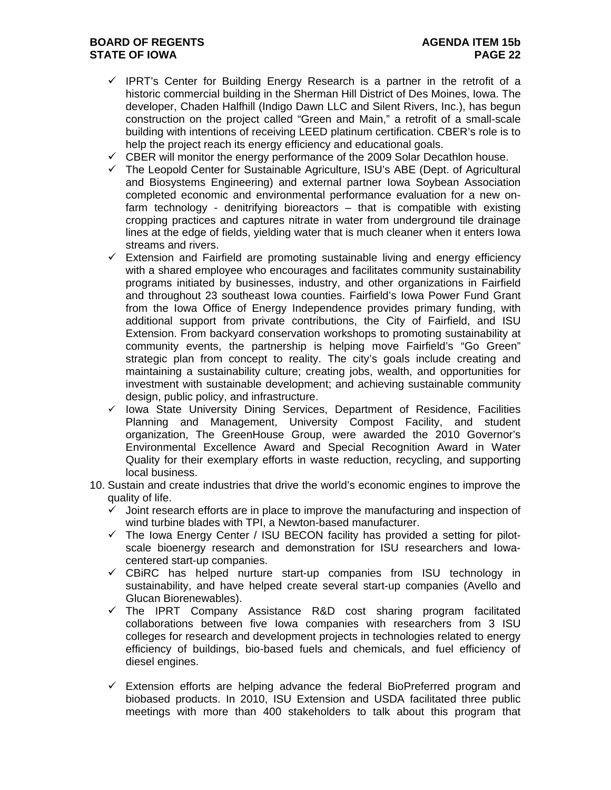# **BOARD OF REGENTS AGENUS AGENDA ITEM 15b STATE OF IOWA PAGE 22**

- $\checkmark$  IPRT's Center for Building Energy Research is a partner in the retrofit of a historic commercial building in the Sherman Hill District of Des Moines, Iowa. The developer, Chaden Halfhill (Indigo Dawn LLC and Silent Rivers, Inc.), has begun construction on the project called "Green and Main," a retrofit of a small-scale building with intentions of receiving LEED platinum certification. CBER's role is to help the project reach its energy efficiency and educational goals.
- $\checkmark$  CBER will monitor the energy performance of the 2009 Solar Decathlon house.
- $\checkmark$  The Leopold Center for Sustainable Agriculture, ISU's ABE (Dept. of Agricultural and Biosystems Engineering) and external partner Iowa Soybean Association completed economic and environmental performance evaluation for a new onfarm technology - denitrifying bioreactors – that is compatible with existing cropping practices and captures nitrate in water from underground tile drainage lines at the edge of fields, yielding water that is much cleaner when it enters Iowa streams and rivers.
- $\checkmark$  Extension and Fairfield are promoting sustainable living and energy efficiency with a shared employee who encourages and facilitates community sustainability programs initiated by businesses, industry, and other organizations in Fairfield and throughout 23 southeast Iowa counties. Fairfield's Iowa Power Fund Grant from the Iowa Office of Energy Independence provides primary funding, with additional support from private contributions, the City of Fairfield, and ISU Extension. From backyard conservation workshops to promoting sustainability at community events, the partnership is helping move Fairfield's "Go Green" strategic plan from concept to reality. The city's goals include creating and maintaining a sustainability culture; creating jobs, wealth, and opportunities for investment with sustainable development; and achieving sustainable community design, public policy, and infrastructure.
- $\checkmark$  Iowa State University Dining Services, Department of Residence, Facilities Planning and Management, University Compost Facility, and student organization, The GreenHouse Group, were awarded the 2010 Governor's Environmental Excellence Award and Special Recognition Award in Water Quality for their exemplary efforts in waste reduction, recycling, and supporting local business.
- 10. Sustain and create industries that drive the world's economic engines to improve the quality of life.
	- $\checkmark$  Joint research efforts are in place to improve the manufacturing and inspection of wind turbine blades with TPI, a Newton-based manufacturer.
	- $\checkmark$  The Iowa Energy Center / ISU BECON facility has provided a setting for pilotscale bioenergy research and demonstration for ISU researchers and Iowacentered start-up companies.
	- $\checkmark$  CBiRC has helped nurture start-up companies from ISU technology in sustainability, and have helped create several start-up companies (Avello and Glucan Biorenewables).
	- $\checkmark$  The IPRT Company Assistance R&D cost sharing program facilitated collaborations between five Iowa companies with researchers from 3 ISU colleges for research and development projects in technologies related to energy efficiency of buildings, bio-based fuels and chemicals, and fuel efficiency of diesel engines.
	- $\checkmark$  Extension efforts are helping advance the federal BioPreferred program and biobased products. In 2010, ISU Extension and USDA facilitated three public meetings with more than 400 stakeholders to talk about this program that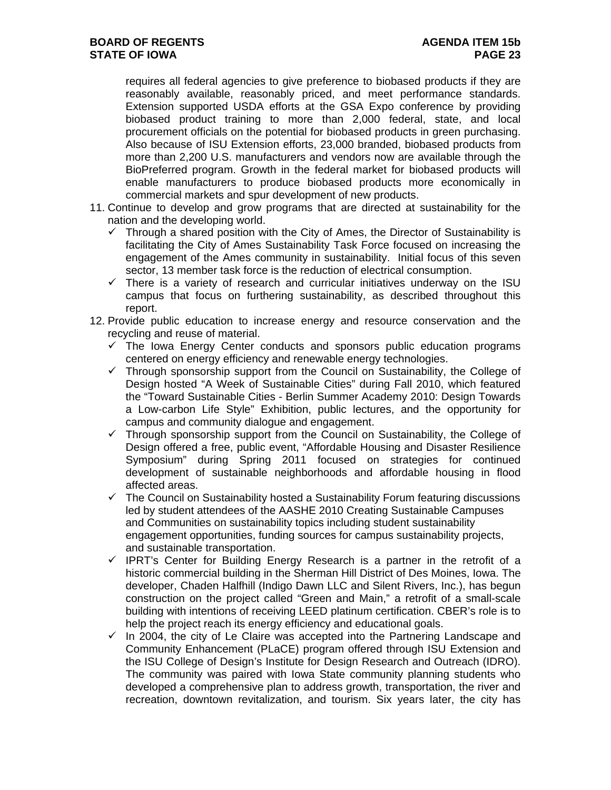requires all federal agencies to give preference to biobased products if they are reasonably available, reasonably priced, and meet performance standards. Extension supported USDA efforts at the GSA Expo conference by providing biobased product training to more than 2,000 federal, state, and local procurement officials on the potential for biobased products in green purchasing. Also because of ISU Extension efforts, 23,000 branded, biobased products from more than 2,200 U.S. manufacturers and vendors now are available through the BioPreferred program. Growth in the federal market for biobased products will enable manufacturers to produce biobased products more economically in commercial markets and spur development of new products.

- 11. Continue to develop and grow programs that are directed at sustainability for the nation and the developing world.
	- $\checkmark$  Through a shared position with the City of Ames, the Director of Sustainability is facilitating the City of Ames Sustainability Task Force focused on increasing the engagement of the Ames community in sustainability. Initial focus of this seven sector, 13 member task force is the reduction of electrical consumption.
	- $\checkmark$  There is a variety of research and curricular initiatives underway on the ISU campus that focus on furthering sustainability, as described throughout this report.
- 12. Provide public education to increase energy and resource conservation and the recycling and reuse of material.
	- $\checkmark$  The Iowa Energy Center conducts and sponsors public education programs centered on energy efficiency and renewable energy technologies.
	- $\checkmark$  Through sponsorship support from the Council on Sustainability, the College of Design hosted "A Week of Sustainable Cities" during Fall 2010, which featured the "Toward Sustainable Cities - Berlin Summer Academy 2010: Design Towards a Low-carbon Life Style" Exhibition, public lectures, and the opportunity for campus and community dialogue and engagement.
	- $\checkmark$  Through sponsorship support from the Council on Sustainability, the College of Design offered a free, public event, "Affordable Housing and Disaster Resilience Symposium" during Spring 2011 focused on strategies for continued development of sustainable neighborhoods and affordable housing in flood affected areas.
	- $\checkmark$  The Council on Sustainability hosted a Sustainability Forum featuring discussions led by student attendees of the AASHE 2010 Creating Sustainable Campuses and Communities on sustainability topics including student sustainability engagement opportunities, funding sources for campus sustainability projects, and sustainable transportation.
	- $\checkmark$  IPRT's Center for Building Energy Research is a partner in the retrofit of a historic commercial building in the Sherman Hill District of Des Moines, Iowa. The developer, Chaden Halfhill (Indigo Dawn LLC and Silent Rivers, Inc.), has begun construction on the project called "Green and Main," a retrofit of a small-scale building with intentions of receiving LEED platinum certification. CBER's role is to help the project reach its energy efficiency and educational goals.
	- $\checkmark$  In 2004, the city of Le Claire was accepted into the Partnering Landscape and Community Enhancement (PLaCE) program offered through ISU Extension and the ISU College of Design's Institute for Design Research and Outreach (IDRO). The community was paired with Iowa State community planning students who developed a comprehensive plan to address growth, transportation, the river and recreation, downtown revitalization, and tourism. Six years later, the city has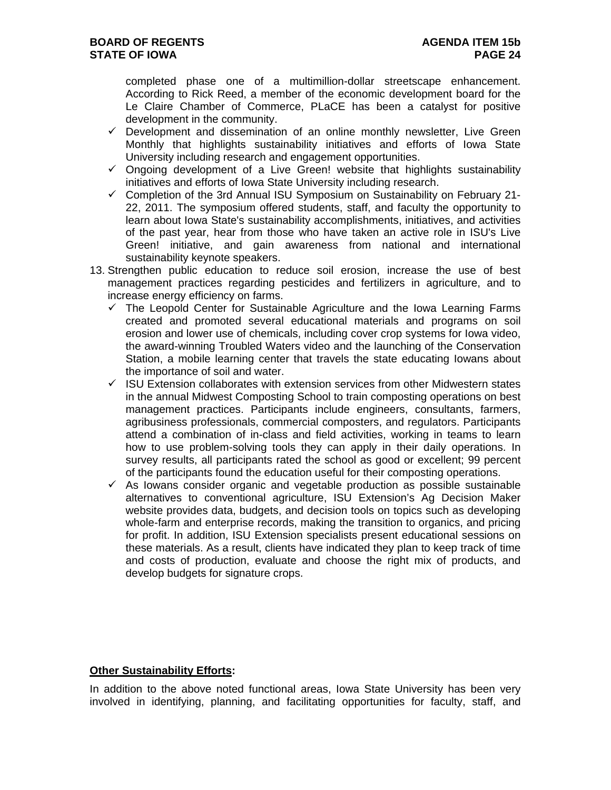completed phase one of a multimillion-dollar streetscape enhancement. According to Rick Reed, a member of the economic development board for the Le Claire Chamber of Commerce, PLaCE has been a catalyst for positive development in the community.

- $\checkmark$  Development and dissemination of an online monthly newsletter, Live Green Monthly that highlights sustainability initiatives and efforts of Iowa State University including research and engagement opportunities.
- $\checkmark$  Ongoing development of a Live Green! website that highlights sustainability initiatives and efforts of Iowa State University including research.
- $\checkmark$  Completion of the 3rd Annual ISU Symposium on Sustainability on February 21-22, 2011. The symposium offered students, staff, and faculty the opportunity to learn about Iowa State's sustainability accomplishments, initiatives, and activities of the past year, hear from those who have taken an active role in ISU's Live Green! initiative, and gain awareness from national and international sustainability keynote speakers.
- 13. Strengthen public education to reduce soil erosion, increase the use of best management practices regarding pesticides and fertilizers in agriculture, and to increase energy efficiency on farms.
	- $\checkmark$  The Leopold Center for Sustainable Agriculture and the Iowa Learning Farms created and promoted several educational materials and programs on soil erosion and lower use of chemicals, including cover crop systems for Iowa video, the award-winning Troubled Waters video and the launching of the Conservation Station, a mobile learning center that travels the state educating Iowans about the importance of soil and water.
	- $\checkmark$  ISU Extension collaborates with extension services from other Midwestern states in the annual Midwest Composting School to train composting operations on best management practices. Participants include engineers, consultants, farmers, agribusiness professionals, commercial composters, and regulators. Participants attend a combination of in-class and field activities, working in teams to learn how to use problem-solving tools they can apply in their daily operations. In survey results, all participants rated the school as good or excellent; 99 percent of the participants found the education useful for their composting operations.
	- $\checkmark$  As lowans consider organic and vegetable production as possible sustainable alternatives to conventional agriculture, ISU Extension's Ag Decision Maker website provides data, budgets, and decision tools on topics such as developing whole-farm and enterprise records, making the transition to organics, and pricing for profit. In addition, ISU Extension specialists present educational sessions on these materials. As a result, clients have indicated they plan to keep track of time and costs of production, evaluate and choose the right mix of products, and develop budgets for signature crops.

### **Other Sustainability Efforts:**

In addition to the above noted functional areas, Iowa State University has been very involved in identifying, planning, and facilitating opportunities for faculty, staff, and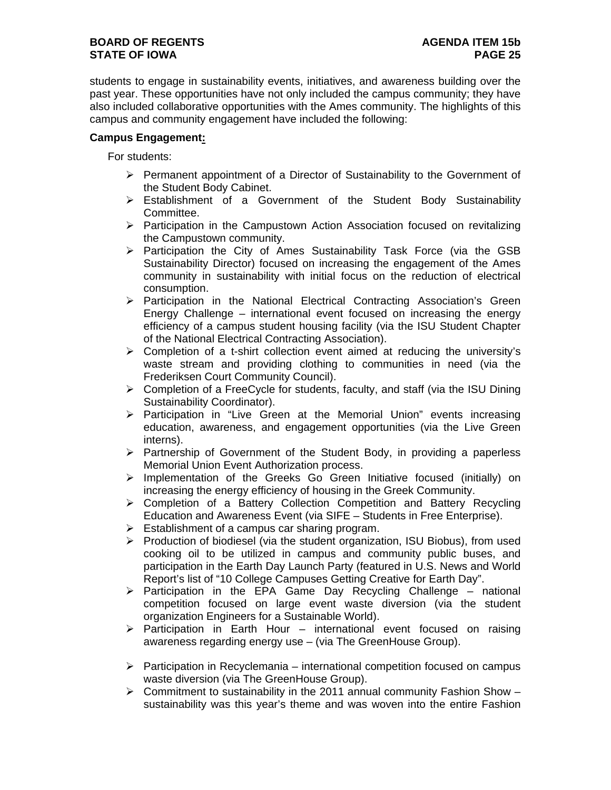## **BOARD OF REGENTS AGENUS AGENDA ITEM 15b STATE OF IOWA PAGE 25**

students to engage in sustainability events, initiatives, and awareness building over the past year. These opportunities have not only included the campus community; they have also included collaborative opportunities with the Ames community. The highlights of this campus and community engagement have included the following:

## **Campus Engagement:**

For students:

- $\triangleright$  Permanent appointment of a Director of Sustainability to the Government of the Student Body Cabinet.
- $\triangleright$  Establishment of a Government of the Student Body Sustainability Committee.
- Participation in the Campustown Action Association focused on revitalizing the Campustown community.
- $\triangleright$  Participation the City of Ames Sustainability Task Force (via the GSB Sustainability Director) focused on increasing the engagement of the Ames community in sustainability with initial focus on the reduction of electrical consumption.
- $\triangleright$  Participation in the National Electrical Contracting Association's Green Energy Challenge – international event focused on increasing the energy efficiency of a campus student housing facility (via the ISU Student Chapter of the National Electrical Contracting Association).
- $\triangleright$  Completion of a t-shirt collection event aimed at reducing the university's waste stream and providing clothing to communities in need (via the Frederiksen Court Community Council).
- $\triangleright$  Completion of a FreeCycle for students, faculty, and staff (via the ISU Dining Sustainability Coordinator).
- $\triangleright$  Participation in "Live Green at the Memorial Union" events increasing education, awareness, and engagement opportunities (via the Live Green interns).
- $\triangleright$  Partnership of Government of the Student Body, in providing a paperless Memorial Union Event Authorization process.
- > Implementation of the Greeks Go Green Initiative focused (initially) on increasing the energy efficiency of housing in the Greek Community.
- $\triangleright$  Completion of a Battery Collection Competition and Battery Recycling Education and Awareness Event (via SIFE – Students in Free Enterprise).
- $\triangleright$  Establishment of a campus car sharing program.
- $\triangleright$  Production of biodiesel (via the student organization, ISU Biobus), from used cooking oil to be utilized in campus and community public buses, and participation in the Earth Day Launch Party (featured in U.S. News and World Report's list of "10 College Campuses Getting Creative for Earth Day".
- $\triangleright$  Participation in the EPA Game Day Recycling Challenge national competition focused on large event waste diversion (via the student organization Engineers for a Sustainable World).
- $\triangleright$  Participation in Earth Hour international event focused on raising awareness regarding energy use – (via The GreenHouse Group).
- $\triangleright$  Participation in Recyclemania international competition focused on campus waste diversion (via The GreenHouse Group).
- $\triangleright$  Commitment to sustainability in the 2011 annual community Fashion Show sustainability was this year's theme and was woven into the entire Fashion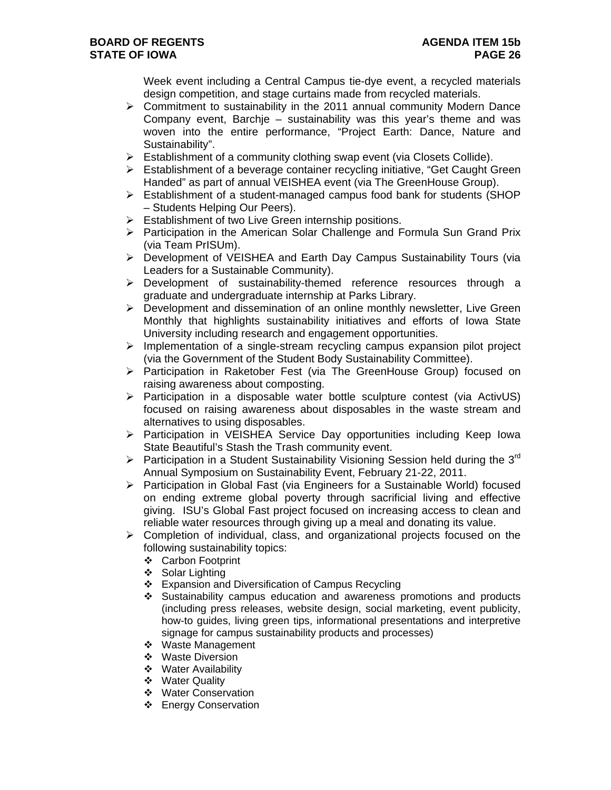Week event including a Central Campus tie-dye event, a recycled materials design competition, and stage curtains made from recycled materials.

- $\triangleright$  Commitment to sustainability in the 2011 annual community Modern Dance Company event, Barchje – sustainability was this year's theme and was woven into the entire performance, "Project Earth: Dance, Nature and Sustainability".
- $\triangleright$  Establishment of a community clothing swap event (via Closets Collide).
- $\triangleright$  Establishment of a beverage container recycling initiative, "Get Caught Green Handed" as part of annual VEISHEA event (via The GreenHouse Group).
- $\triangleright$  Establishment of a student-managed campus food bank for students (SHOP – Students Helping Our Peers).
- $\triangleright$  Establishment of two Live Green internship positions.
- > Participation in the American Solar Challenge and Formula Sun Grand Prix (via Team PrISUm).
- Development of VEISHEA and Earth Day Campus Sustainability Tours (via Leaders for a Sustainable Community).
- Development of sustainability-themed reference resources through a graduate and undergraduate internship at Parks Library.
- $\triangleright$  Development and dissemination of an online monthly newsletter, Live Green Monthly that highlights sustainability initiatives and efforts of Iowa State University including research and engagement opportunities.
- $\triangleright$  Implementation of a single-stream recycling campus expansion pilot project (via the Government of the Student Body Sustainability Committee).
- $\triangleright$  Participation in Raketober Fest (via The GreenHouse Group) focused on raising awareness about composting.
- $\triangleright$  Participation in a disposable water bottle sculpture contest (via ActivUS) focused on raising awareness about disposables in the waste stream and alternatives to using disposables.
- $\triangleright$  Participation in VEISHEA Service Day opportunities including Keep Iowa State Beautiful's Stash the Trash community event.
- **Participation in a Student Sustainability Visioning Session held during the 3<sup>rd</sup>** Annual Symposium on Sustainability Event, February 21-22, 2011.
- Participation in Global Fast (via Engineers for a Sustainable World) focused on ending extreme global poverty through sacrificial living and effective giving. ISU's Global Fast project focused on increasing access to clean and reliable water resources through giving up a meal and donating its value.
- $\triangleright$  Completion of individual, class, and organizational projects focused on the following sustainability topics:
	- Carbon Footprint
	- ❖ Solar Lighting
	- Expansion and Diversification of Campus Recycling
	- Sustainability campus education and awareness promotions and products (including press releases, website design, social marketing, event publicity, how-to guides, living green tips, informational presentations and interpretive signage for campus sustainability products and processes)
	- ❖ Waste Management
	- ❖ Waste Diversion
	- Water Availability
	- Water Quality
	- ❖ Water Conservation
	- ❖ Energy Conservation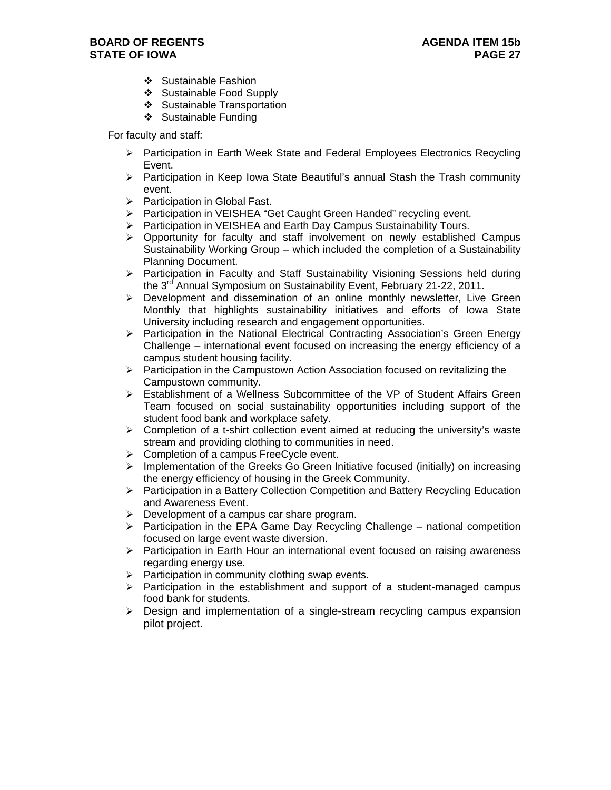- Sustainable Fashion
- ❖ Sustainable Food Supply
- ❖ Sustainable Transportation
- ❖ Sustainable Funding

For faculty and staff:

- $\triangleright$  Participation in Earth Week State and Federal Employees Electronics Recycling Event.
- $\triangleright$  Participation in Keep Iowa State Beautiful's annual Stash the Trash community event.
- > Participation in Global Fast.
- > Participation in VEISHEA "Get Caught Green Handed" recycling event.
- ▶ Participation in VEISHEA and Earth Day Campus Sustainability Tours.
- $\triangleright$  Opportunity for faculty and staff involvement on newly established Campus Sustainability Working Group – which included the completion of a Sustainability Planning Document.
- $\triangleright$  Participation in Faculty and Staff Sustainability Visioning Sessions held during the 3<sup>rd</sup> Annual Symposium on Sustainability Event, February 21-22, 2011.
- $\triangleright$  Development and dissemination of an online monthly newsletter. Live Green Monthly that highlights sustainability initiatives and efforts of Iowa State University including research and engagement opportunities.
- $\triangleright$  Participation in the National Electrical Contracting Association's Green Energy Challenge – international event focused on increasing the energy efficiency of a campus student housing facility.
- $\triangleright$  Participation in the Campustown Action Association focused on revitalizing the Campustown community.
- $\triangleright$  Establishment of a Wellness Subcommittee of the VP of Student Affairs Green Team focused on social sustainability opportunities including support of the student food bank and workplace safety.
- $\triangleright$  Completion of a t-shirt collection event aimed at reducing the university's waste stream and providing clothing to communities in need.
- $\triangleright$  Completion of a campus FreeCycle event.
- $\triangleright$  Implementation of the Greeks Go Green Initiative focused (initially) on increasing the energy efficiency of housing in the Greek Community.
- $\triangleright$  Participation in a Battery Collection Competition and Battery Recycling Education and Awareness Event.
- $\triangleright$  Development of a campus car share program.
- $\triangleright$  Participation in the EPA Game Day Recycling Challenge national competition focused on large event waste diversion.
- > Participation in Earth Hour an international event focused on raising awareness regarding energy use.
- $\triangleright$  Participation in community clothing swap events.
- $\triangleright$  Participation in the establishment and support of a student-managed campus food bank for students.
- $\triangleright$  Design and implementation of a single-stream recycling campus expansion pilot project.